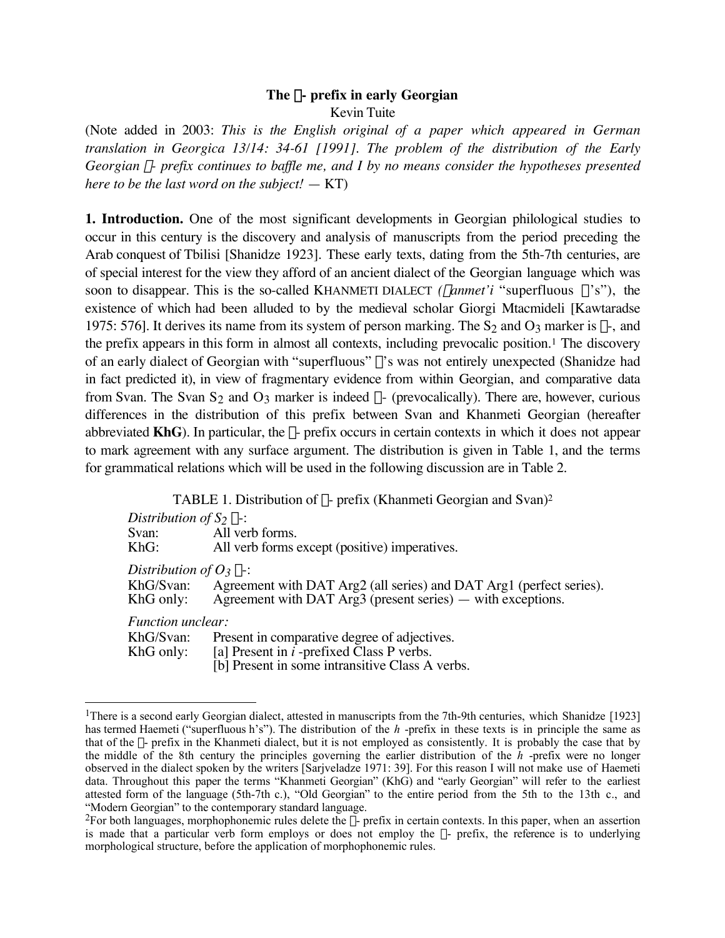### **The** c**- prefix in early Georgian** Kevin Tuite

(Note added in 2003: *This is the English original of a paper which appeared in German translation in Georgica 13/14: 34-61 [1991]. The problem of the distribution of the Early Georgian*  $\chi$ *- prefix continues to baffle me, and I by no means consider the hypotheses presented here to be the last word on the subject!* — KT)

**1. Introduction.** One of the most significant developments in Georgian philological studies to occur in this century is the discovery and analysis of manuscripts from the period preceding the Arab conquest of Tbilisi [Shanidze 1923]. These early texts, dating from the 5th-7th centuries, are of special interest for the view they afford of an ancient dialect of the Georgian language which was soon to disappear. This is the so-called KHANMETI DIALECT *(xanmet'i* "superfluous  $\chi$ 's"), the existence of which had been alluded to by the medieval scholar Giorgi Mtacmideli [Kawtaradse 1975: 576]. It derives its name from its system of person marking. The S<sub>2</sub> and O<sub>3</sub> marker is  $\chi$ -, and the prefix appears in this form in almost all contexts, including prevocalic position.1 The discovery of an early dialect of Georgian with "superfluous"  $\chi$ 's was not entirely unexpected (Shanidze had in fact predicted it), in view of fragmentary evidence from within Georgian, and comparative data from Svan. The Svan S<sub>2</sub> and O<sub>3</sub> marker is indeed  $\chi$ - (prevocalically). There are, however, curious differences in the distribution of this prefix between Svan and Khanmeti Georgian (hereafter abbreviated  $KhG$ ). In particular, the  $\chi$ - prefix occurs in certain contexts in which it does not appear to mark agreement with any surface argument. The distribution is given in Table 1, and the terms for grammatical relations which will be used in the following discussion are in Table 2.

TABLE 1. Distribution of  $\chi$ - prefix (Khanmeti Georgian and Svan)<sup>2</sup> *Distribution of S*<sub>2</sub>  $\chi$ -:<br>Svan: All ver Svan: All verb forms.<br>KhG: All verb forms on All verb forms except (positive) imperatives. *Distribution of O<sub>3</sub>* χ-:<br>KhG/Svan: Agreer Agreement with DAT Arg2 (all series) and DAT Arg1 (perfect series). KhG only: Agreement with DAT Arg3 (present series) — with exceptions. *Function unclear:* KhG/Svan: Present in comparative degree of adjectives. KhG only: [a] Present in *i* -prefixed Class P verbs. [b] Present in some intransitive Class A verbs.

<sup>&</sup>lt;sup>1</sup>There is a second early Georgian dialect, attested in manuscripts from the 7th-9th centuries, which Shanidze [1923] has termed Haemeti ("superfluous h's"). The distribution of the *h* -prefix in these texts is in principle the same as that of the  $\chi$ - prefix in the Khanmeti dialect, but it is not employed as consistently. It is probably the case that by the middle of the 8th century the principles governing the earlier distribution of the *h* -prefix were no longer observed in the dialect spoken by the writers [Sarjveladze 1971: 39]. For this reason I will not make use of Haemeti data. Throughout this paper the terms "Khanmeti Georgian" (KhG) and "early Georgian" will refer to the earliest attested form of the language (5th-7th c.), "Old Georgian" to the entire period from the 5th to the 13th c., and "Modern Georgian" to the contemporary standard language.

<sup>&</sup>lt;sup>2</sup>For both languages, morphophonemic rules delete the  $\chi$ - prefix in certain contexts. In this paper, when an assertion is made that a particular verb form employs or does not employ the  $\chi$ - prefix, the reference is to underlying morphological structure, before the application of morphophonemic rules.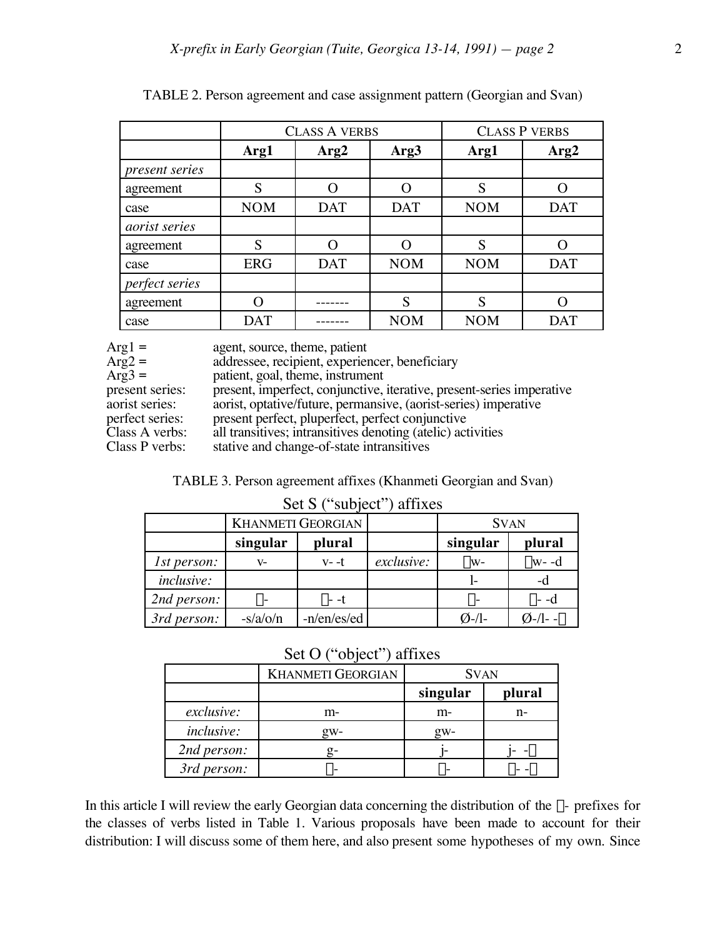|                      | <b>CLASS A VERBS</b> |            |                  | <b>CLASS P VERBS</b> |            |  |
|----------------------|----------------------|------------|------------------|----------------------|------------|--|
|                      | Arg1                 | Arg2       | Arg <sub>3</sub> | Arg1                 | Arg2       |  |
| present series       |                      |            |                  |                      |            |  |
| agreement            | S                    |            | $\cap$           | S                    |            |  |
| case                 | <b>NOM</b>           | <b>DAT</b> | <b>DAT</b>       | <b>NOM</b>           | <b>DAT</b> |  |
| <i>aorist</i> series |                      |            |                  |                      |            |  |
| agreement            | S                    |            |                  | S                    |            |  |
| case                 | <b>ERG</b>           | <b>DAT</b> | <b>NOM</b>       | <b>NOM</b>           | <b>DAT</b> |  |
| perfect series       |                      |            |                  |                      |            |  |
| agreement            |                      |            | S                | S                    |            |  |
| case                 | <b>DAT</b>           |            | <b>NOM</b>       | <b>NOM</b>           | <b>DAT</b> |  |

| TABLE 2. Person agreement and case assignment pattern (Georgian and Svan) |  |  |  |
|---------------------------------------------------------------------------|--|--|--|
|                                                                           |  |  |  |

| $Arg1 =$<br>$Arg2 =$<br>$Arg3 =$<br>present series:<br>aorist series:<br>perfect series:<br>Class A verbs: | agent, source, theme, patient<br>addressee, recipient, experiencer, beneficiary<br>patient, goal, theme, instrument<br>present, imperfect, conjunctive, iterative, present-series imperative<br>aorist, optative/future, permansive, (aorist-series) imperative<br>present perfect, pluperfect, perfect conjunctive<br>all transitives; intransitives denoting (atelic) activities |
|------------------------------------------------------------------------------------------------------------|------------------------------------------------------------------------------------------------------------------------------------------------------------------------------------------------------------------------------------------------------------------------------------------------------------------------------------------------------------------------------------|
| Class P verbs:                                                                                             | stative and change-of-state intransitives                                                                                                                                                                                                                                                                                                                                          |
|                                                                                                            |                                                                                                                                                                                                                                                                                                                                                                                    |

TABLE 3. Person agreement affixes (Khanmeti Georgian and Svan)

# Set S ("subject") affixes

|                   | <b>KHANMETI GEORGIAN</b> |             |            | <b>SVAN</b>      |                 |
|-------------------|--------------------------|-------------|------------|------------------|-----------------|
|                   | singular                 | plural      |            | singular         | plural          |
| 1st person:       | V-                       | $V - -t$    | exclusive: | $X_{W^-}$        | $\chi$ w- -d    |
| <i>inclusive:</i> |                          |             |            |                  | -d              |
| 2nd person:       | $X^-$                    | $x - t$     |            | $\chi$ -         | $\chi$ - -d     |
| 3rd person:       | $-s/a$ /o/n              | -n/en/es/ed |            | $\emptyset$ -/l- | $Q-\frac{1}{2}$ |

# Set O ("object") affixes

|                   | <b>KHANMETI GEORGIAN</b> | <b>SVAN</b> |        |  |
|-------------------|--------------------------|-------------|--------|--|
|                   |                          | singular    | plural |  |
| exclusive:        | m-                       | m-          | n-     |  |
| <i>inclusive:</i> | $g_{W^-}$                | gw-         |        |  |
| 2nd person:       |                          |             |        |  |
| 3rd person:       |                          |             |        |  |

In this article I will review the early Georgian data concerning the distribution of the  $\chi$ - prefixes for the classes of verbs listed in Table 1. Various proposals have been made to account for their distribution: I will discuss some of them here, and also present some hypotheses of my own. Since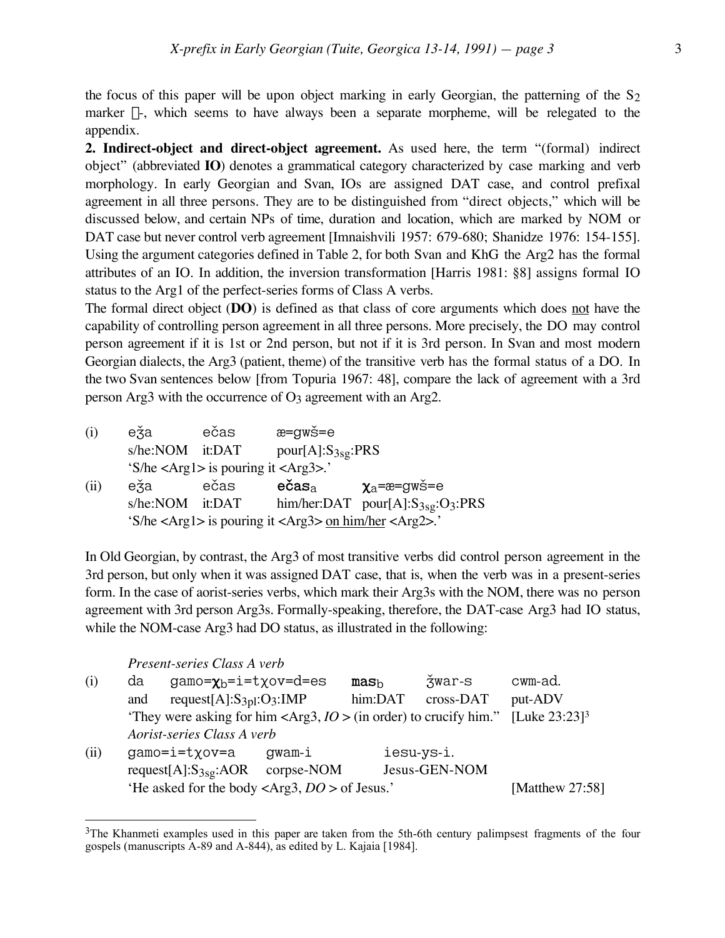the focus of this paper will be upon object marking in early Georgian, the patterning of the  $S_2$ marker  $\chi$ -, which seems to have always been a separate morpheme, will be relegated to the appendix.

**2. Indirect-object and direct-object agreement.** As used here, the term "(formal) indirect object" (abbreviated **IO**) denotes a grammatical category characterized by case marking and verb morphology. In early Georgian and Svan, IOs are assigned DAT case, and control prefixal agreement in all three persons. They are to be distinguished from "direct objects," which will be discussed below, and certain NPs of time, duration and location, which are marked by NOM or DAT case but never control verb agreement [Imnaishvili 1957: 679-680; Shanidze 1976: 154-155]. Using the argument categories defined in Table 2, for both Svan and KhG the Arg2 has the formal attributes of an IO. In addition, the inversion transformation [Harris 1981: §8] assigns formal IO status to the Arg1 of the perfect-series forms of Class A verbs.

The formal direct object (**DO**) is defined as that class of core arguments which does not have the capability of controlling person agreement in all three persons. More precisely, the DO may control person agreement if it is 1st or 2nd person, but not if it is 3rd person. In Svan and most modern Georgian dialects, the Arg3 (patient, theme) of the transitive verb has the formal status of a DO. In the two Svan sentences below [from Topuria 1967: 48], compare the lack of agreement with a 3rd person Arg3 with the occurrence of  $O_3$  agreement with an Arg2.

- $(i)$  e $\check{z}$ a ečas  $x=gw\check{s}=e$  $s/he: NOM$  it:DAT pour[A]: $S_{3sg}: PRS$ 'S/he <Arg1> is pouring it <Arg3>.' (ii) e $\check{z}$ a ečas ečas  $x_a = x_e = g$ wš=e<br>s/he:NOM it:DAT him/her:DAT pour[A]:S3sq:C
- him/her:DAT pour[A]:S<sub>3sg</sub>:O<sub>3</sub>:PRS 'S/he <Arg1> is pouring it <Arg3> on him/her <Arg2>.'

In Old Georgian, by contrast, the Arg3 of most transitive verbs did control person agreement in the 3rd person, but only when it was assigned DAT case, that is, when the verb was in a present-series form. In the case of aorist-series verbs, which mark their Arg3s with the NOM, there was no person agreement with 3rd person Arg3s. Formally-speaking, therefore, the DAT-case Arg3 had IO status, while the NOM-case Arg3 had DO status, as illustrated in the following:

*Present-series Class A verb*

 $\overline{a}$ 

(i) da gamo= $\chi_b$ =i=t $\chi$ ov=d=es **mas**<sub>b</sub>  $\check{z}$ war-s cwm-ad.<br>and request[A]:S<sub>3pl</sub>:O<sub>3</sub>:IMP him:DAT cross-DAT put-ADV and request[A]: $S_{3pl}$ : $O_3$ :IMP 'They were asking for him <Arg3,  $IO >$  (in order) to crucify him." [Luke 23:23]<sup>3</sup> *Aorist-series Class A verb*  $(ii)$  gamo=i=tyov=a gwam-i iesu-ys-i. request[A]:S3sg:AOR corpse-NOM Jesus-GEN-NOM 'He asked for the body <Arg3, *DO* > of Jesus.' [Matthew 27:58]

<sup>&</sup>lt;sup>3</sup>The Khanmeti examples used in this paper are taken from the 5th-6th century palimpsest fragments of the four gospels (manuscripts A-89 and A-844), as edited by L. Kajaia [1984].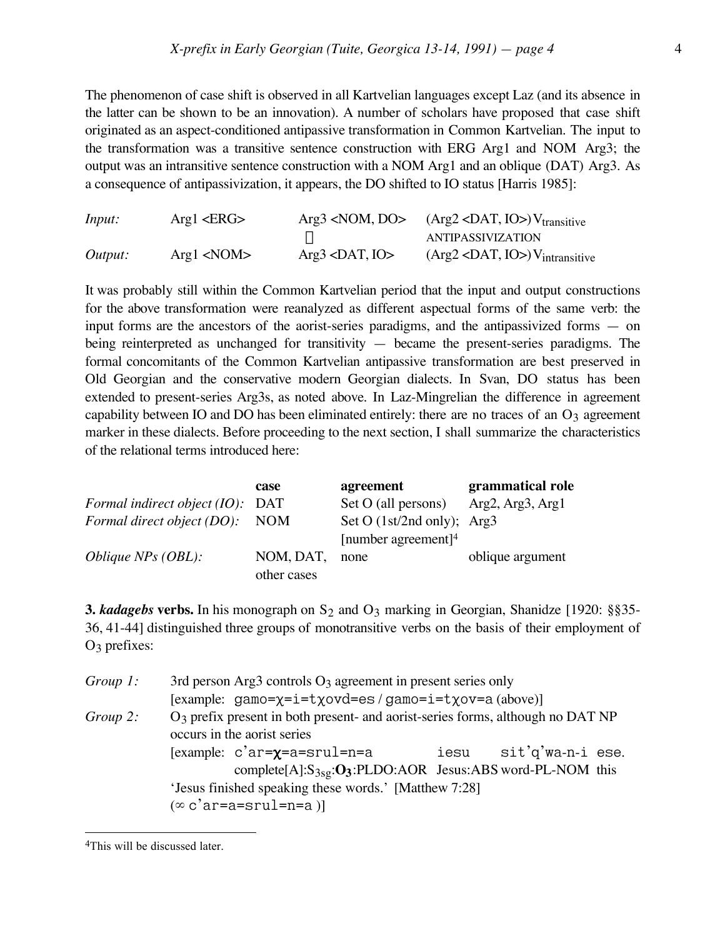The phenomenon of case shift is observed in all Kartvelian languages except Laz (and its absence in the latter can be shown to be an innovation). A number of scholars have proposed that case shift originated as an aspect-conditioned antipassive transformation in Common Kartvelian. The input to the transformation was a transitive sentence construction with ERG Arg1 and NOM Arg3; the output was an intransitive sentence construction with a NOM Arg1 and an oblique (DAT) Arg3. As a consequence of antipassivization, it appears, the DO shifted to IO status [Harris 1985]:

| Input:  | Arg1 < ERG | $Arg3$ <nom, do=""></nom,> | $(Arg2 < DAT, IO>) V_{transitive}$           |
|---------|------------|----------------------------|----------------------------------------------|
|         |            |                            | ANTIPASSIVIZATION                            |
| Output: | Arg1 < NOM | $Arg3$ <dat, io=""></dat,> | $(Arg2 < DAT, IO)$ V <sub>intransitive</sub> |

It was probably still within the Common Kartvelian period that the input and output constructions for the above transformation were reanalyzed as different aspectual forms of the same verb: the input forms are the ancestors of the aorist-series paradigms, and the antipassivized forms — on being reinterpreted as unchanged for transitivity — became the present-series paradigms. The formal concomitants of the Common Kartvelian antipassive transformation are best preserved in Old Georgian and the conservative modern Georgian dialects. In Svan, DO status has been extended to present-series Arg3s, as noted above. In Laz-Mingrelian the difference in agreement capability between IO and DO has been eliminated entirely: there are no traces of an  $O<sub>3</sub>$  agreement marker in these dialects. Before proceeding to the next section, I shall summarize the characteristics of the relational terms introduced here:

|                                    | case        | agreement                            | grammatical role |
|------------------------------------|-------------|--------------------------------------|------------------|
| Formal indirect object $(IO):$ DAT |             | Set O (all persons) Arg2, Arg3, Arg1 |                  |
| Formal direct object (DO): NOM     |             | Set O $(1st/2nd \text{ only});$ Arg3 |                  |
|                                    |             | [number agreement] $4$               |                  |
| <i>Oblique NPs</i> $(OBL):$        | NOM, DAT,   | none                                 | oblique argument |
|                                    | other cases |                                      |                  |

**3.** *kadagebs* **verbs.** In his monograph on S<sub>2</sub> and O<sub>3</sub> marking in Georgian, Shanidze [1920: §§35-36, 41-44] distinguished three groups of monotransitive verbs on the basis of their employment of O3 prefixes:

| Group 1: | 3rd person Arg3 controls $O_3$ agreement in present series only                |                                                                                            |  |  |  |  |  |
|----------|--------------------------------------------------------------------------------|--------------------------------------------------------------------------------------------|--|--|--|--|--|
|          | [example: gamo= $\chi$ =i=t $\chi$ ovd=es/gamo=i=t $\chi$ ov=a(above)]         |                                                                                            |  |  |  |  |  |
| Group 2: |                                                                                | O <sub>3</sub> prefix present in both present- and aorist-series forms, although no DAT NP |  |  |  |  |  |
|          | occurs in the aorist series                                                    |                                                                                            |  |  |  |  |  |
|          | [example: $c'ar = \chi = a = \text{srul} = n = a$<br>sit'q'wa-n-i ese.<br>iesu |                                                                                            |  |  |  |  |  |
|          |                                                                                | complete[A]: $S_{3sg}$ : $O_3$ :PLDO:AOR Jesus:ABS word-PL-NOM this                        |  |  |  |  |  |
|          |                                                                                | 'Jesus finished speaking these words.' [Matthew 7:28]                                      |  |  |  |  |  |
|          |                                                                                | $(\infty$ c'ar=a=srul=n=a)                                                                 |  |  |  |  |  |

<sup>4</sup>This will be discussed later.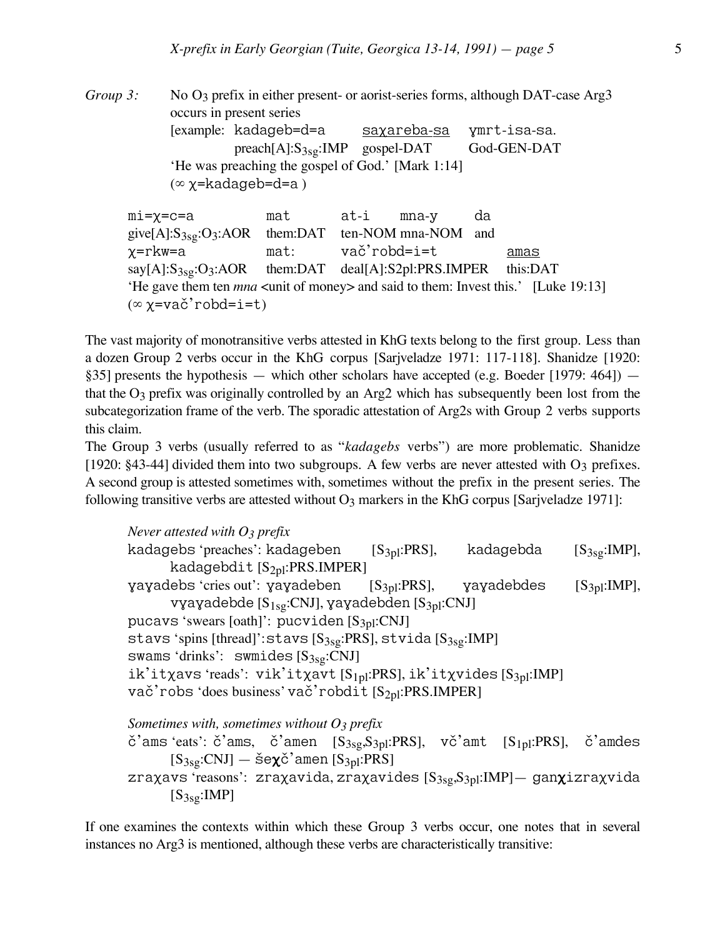*Group 3:* No O<sub>3</sub> prefix in either present- or aorist-series forms, although DAT-case Arg3 occurs in present series [example: kadageb=d=a saxareba-sa ymrt-isa-sa. preach[A]:S<sub>3sg</sub>:IMP gospel-DAT God-GEN-DAT 'He was preaching the gospel of God.' [Mark 1:14]  $(\infty \chi$ =kadageb=d=a)

mi=X=c=a mat at-i mna-y da give[A]: $S_{3sg}$ : $O_3$ :AOR them:DAT ten-NOM mna-NOM and X=rkw=a mat: vac&'robd=i=t amas say[A]:S<sub>3sg</sub>:O<sub>3</sub>:AOR them:DAT deal[A]:S2pl:PRS.IMPER this:DAT 'He gave them ten *mna* <unit of money> and said to them: Invest this.' [Luke 19:13]  $(\infty \chi = va\check{c}'\text{robd} = i = t)$ 

The vast majority of monotransitive verbs attested in KhG texts belong to the first group. Less than a dozen Group 2 verbs occur in the KhG corpus [Sarjveladze 1971: 117-118]. Shanidze [1920: §35] presents the hypothesis — which other scholars have accepted (e.g. Boeder [1979: 464]) that the  $O_3$  prefix was originally controlled by an Arg2 which has subsequently been lost from the subcategorization frame of the verb. The sporadic attestation of Arg2s with Group 2 verbs supports this claim.

The Group 3 verbs (usually referred to as "*kadagebs* verbs") are more problematic. Shanidze [1920: §43-44] divided them into two subgroups. A few verbs are never attested with O3 prefixes. A second group is attested sometimes with, sometimes without the prefix in the present series. The following transitive verbs are attested without  $O_3$  markers in the KhG corpus [Sarjveladze 1971]:

*Never attested with O3 prefix* kadagebs 'preaches': kadageben [S<sub>3pl</sub>:PRS], kadagebda [S<sub>3sg</sub>:IMP], kadagebdit [S<sub>2pl</sub>:PRS.IMPER]  $yayadebs'$ cries out':  $yayadeben$  [S<sub>3pl</sub>:PRS],  $yayadebdes$  [S<sub>3pl</sub>:IMP], vyayadebde  $[S_{1sg}:CNJ]$ , yayadebden  $[S_{3pl}:CNJ]$ pucavs 'swears [oath]': pucviden  $[S_{3pl}:CNJ]$ stavs 'spins [thread]':stavs  $[S_{3sg}:PRS]$ , stvida  $[S_{3sg}:IMP]$ swams 'drinks': swmides  $[S_{3sg}:CNJ]$ ik'it $\chi$ avs 'reads': vik'it $\chi$ avt [S<sub>1pl</sub>:PRS], ik'it $\chi$ vides [S<sub>3pl</sub>:IMP] vač'robs 'does business' vač'robdit  $[S_{2p}]:PRSIMPER]$ *Sometimes with, sometimes without O3 prefix*  $\check{c}$ 'ams 'eats':  $\check{c}$ 'ams,  $\check{c}$ 'amen [S<sub>3sg</sub>,S<sub>3pl</sub>:PRS], v $\check{c}$ 'amt [S<sub>1pl</sub>:PRS],  $\check{c}$ 'amdes

 $[S_{3sg}:CNJ]$  — še $\chi$ č'amen  $[S_{3pl}:PRS]$ zraxavs 'reasons': zraxavida, zraxavides  $[S_{3sg},S_{3pl}:IMP]$  ganxizraxvida  $[S_{3sg}:IMP]$ 

If one examines the contexts within which these Group 3 verbs occur, one notes that in several instances no Arg3 is mentioned, although these verbs are characteristically transitive: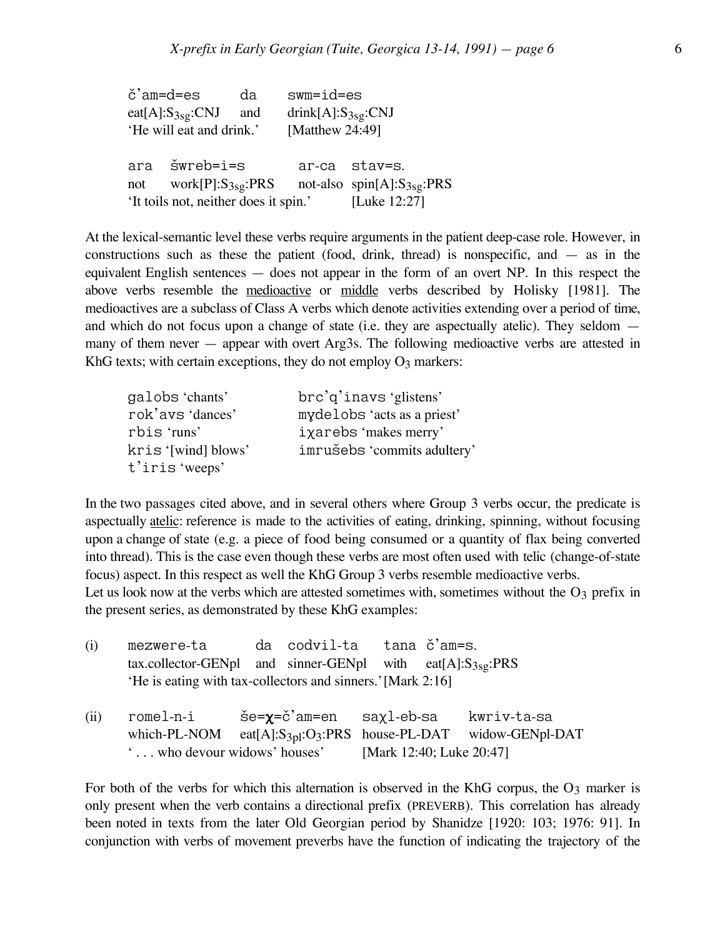| č'am=d=es |                                      | da  | $swm = id = es$          |                                |
|-----------|--------------------------------------|-----|--------------------------|--------------------------------|
|           | $eat[A].S_{3sg}.CNJ$                 | and | drink[A]: $S_{3sg}$ :CNJ |                                |
|           | 'He will eat and drink.'             |     | [Matthew 24:49]          |                                |
|           |                                      |     |                          |                                |
|           | ara šwreb=i=s                        |     |                          | ar-ca stav=s.                  |
| not       | work $[P]:S_{3sg}:PRS$               |     |                          | not-also $spin[A]:S_{3sg}:PRS$ |
|           | It toils not, neither does it spin.' |     |                          | [Luke 12:27]                   |

At the lexical-semantic level these verbs require arguments in the patient deep-case role. However, in constructions such as these the patient (food, drink, thread) is nonspecific, and  $-$  as in the equivalent English sentences — does not appear in the form of an overt NP. In this respect the above verbs resemble the medioactive or middle verbs described by Holisky [1981]. The medioactives are a subclass of Class A verbs which denote activities extending over a period of time, and which do not focus upon a change of state (i.e. they are aspectually atelic). They seldom many of them never — appear with overt Arg3s. The following medioactive verbs are attested in KhG texts; with certain exceptions, they do not employ  $O_3$  markers:

| galobs 'chants'     | brc'g'inavs 'glistens'      |
|---------------------|-----------------------------|
| rok'avs 'dances'    | mydelobs 'acts as a priest' |
| rbis 'runs'         | iχarebs 'makes merry'       |
| kris '[wind] blows' | imrušebs 'commits adultery' |
| t'iris 'weeps'      |                             |

In the two passages cited above, and in several others where Group 3 verbs occur, the predicate is aspectually atelic: reference is made to the activities of eating, drinking, spinning, without focusing upon a change of state (e.g. a piece of food being consumed or a quantity of flax being converted into thread). This is the case even though these verbs are most often used with telic (change-of-state focus) aspect. In this respect as well the KhG Group 3 verbs resemble medioactive verbs. Let us look now at the verbs which are attested sometimes with, sometimes without the  $O_3$  prefix in the present series, as demonstrated by these KhG examples:

| (i)  | mezwere-ta                                                      | da codvil-ta                                                              | tana č'am=s. |             |
|------|-----------------------------------------------------------------|---------------------------------------------------------------------------|--------------|-------------|
|      | tax.collector-GENpl and sinner-GENpl with eat $[A]:S_{3sg}:PRS$ |                                                                           |              |             |
|      | 'He is eating with tax-collectors and sinners.' [Mark 2:16]     |                                                                           |              |             |
| (ii) | romel-n-i                                                       | še= <b>χ</b> =č'am=en saχl-eb-sa                                          |              | kwriv-ta-sa |
|      | which-PL-NOM                                                    | eat[A]:S <sub>3pl</sub> :O <sub>3</sub> :PRS house-PL-DAT widow-GENpl-DAT |              |             |
|      | $\ldots$ who devour widows' houses' [Mark 12:40; Luke 20:47]    |                                                                           |              |             |

For both of the verbs for which this alternation is observed in the KhG corpus, the  $O_3$  marker is only present when the verb contains a directional prefix (PREVERB). This correlation has already been noted in texts from the later Old Georgian period by Shanidze [1920: 103; 1976: 91]. In conjunction with verbs of movement preverbs have the function of indicating the trajectory of the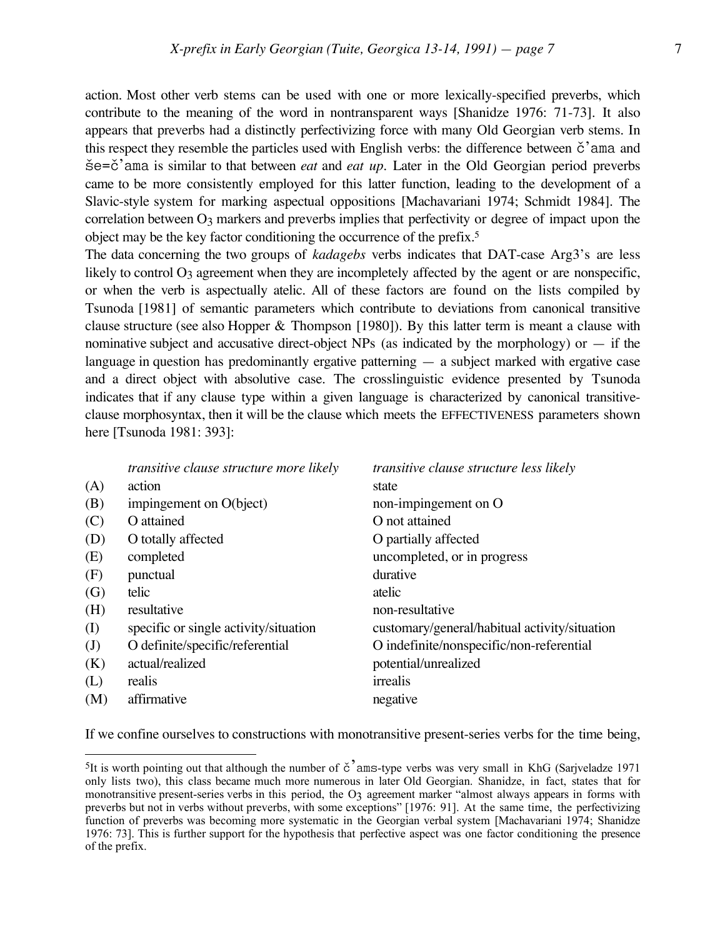action. Most other verb stems can be used with one or more lexically-specified preverbs, which contribute to the meaning of the word in nontransparent ways [Shanidze 1976: 71-73]. It also appears that preverbs had a distinctly perfectivizing force with many Old Georgian verb stems. In this respect they resemble the particles used with English verbs: the difference between  $\check{c}$  ama and  $\text{S}e=\text{C}'$  ama is similar to that between *eat* and *eat up*. Later in the Old Georgian period preverbs came to be more consistently employed for this latter function, leading to the development of a Slavic-style system for marking aspectual oppositions [Machavariani 1974; Schmidt 1984]. The correlation between  $O_3$  markers and preverbs implies that perfectivity or degree of impact upon the object may be the key factor conditioning the occurrence of the prefix.5

The data concerning the two groups of *kadagebs* verbs indicates that DAT-case Arg3's are less likely to control  $O_3$  agreement when they are incompletely affected by the agent or are nonspecific, or when the verb is aspectually atelic. All of these factors are found on the lists compiled by Tsunoda [1981] of semantic parameters which contribute to deviations from canonical transitive clause structure (see also Hopper & Thompson [1980]). By this latter term is meant a clause with nominative subject and accusative direct-object NPs (as indicated by the morphology) or  $-$  if the language in question has predominantly ergative patterning — a subject marked with ergative case and a direct object with absolutive case. The crosslinguistic evidence presented by Tsunoda indicates that if any clause type within a given language is characterized by canonical transitiveclause morphosyntax, then it will be the clause which meets the EFFECTIVENESS parameters shown here [Tsunoda 1981: 393]:

|              | transitive clause structure more likely | <i>transitive clause structure less likely</i> |
|--------------|-----------------------------------------|------------------------------------------------|
| (A)          | action                                  | state                                          |
| (B)          | impingement on O(bject)                 | non-impingement on O                           |
| (C)          | O attained                              | O not attained                                 |
| (D)          | O totally affected                      | O partially affected                           |
| (E)          | completed                               | uncompleted, or in progress                    |
| (F)          | punctual                                | durative                                       |
| (G)          | telic                                   | atelic                                         |
| (H)          | resultative                             | non-resultative                                |
| (I)          | specific or single activity/situation   | customary/general/habitual activity/situation  |
| $\mathrm{J}$ | O definite/specific/referential         | O indefinite/nonspecific/non-referential       |
| (K)          | actual/realized                         | potential/unrealized                           |
| (L)          | realis                                  | irrealis                                       |
| (M)          | affirmative                             | negative                                       |
|              |                                         |                                                |

If we confine ourselves to constructions with monotransitive present-series verbs for the time being,

<sup>&</sup>lt;sup>5</sup>It is worth pointing out that although the number of  $\check{c}$  ams-type verbs was very small in KhG (Sarjveladze 1971) only lists two), this class became much more numerous in later Old Georgian. Shanidze, in fact, states that for monotransitive present-series verbs in this period, the O3 agreement marker "almost always appears in forms with preverbs but not in verbs without preverbs, with some exceptions" [1976: 91]. At the same time, the perfectivizing function of preverbs was becoming more systematic in the Georgian verbal system [Machavariani 1974; Shanidze 1976: 73]. This is further support for the hypothesis that perfective aspect was one factor conditioning the presence of the prefix.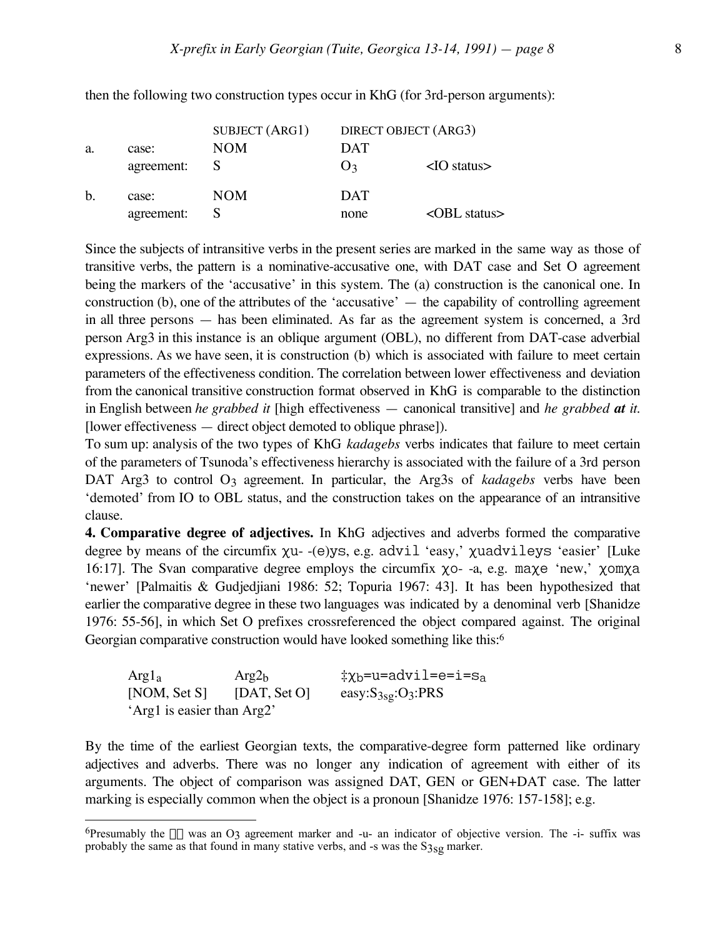|    |            | SUBJECT (ARG1) |                | DIRECT OBJECT (ARG3)    |
|----|------------|----------------|----------------|-------------------------|
| a. | case:      | <b>NOM</b>     | <b>DAT</b>     |                         |
|    | agreement: |                | $\mathbf{Q}_2$ | $\langle$ IO status $>$ |
| b. | case:      | NOM            | <b>DAT</b>     |                         |
|    | agreement: |                | none           | $\triangle$ OBL status  |

then the following two construction types occur in KhG (for 3rd-person arguments):

Since the subjects of intransitive verbs in the present series are marked in the same way as those of transitive verbs, the pattern is a nominative-accusative one, with DAT case and Set O agreement being the markers of the 'accusative' in this system. The (a) construction is the canonical one. In construction (b), one of the attributes of the 'accusative' — the capability of controlling agreement in all three persons — has been eliminated. As far as the agreement system is concerned, a 3rd person Arg3 in this instance is an oblique argument (OBL), no different from DAT-case adverbial expressions. As we have seen, it is construction (b) which is associated with failure to meet certain parameters of the effectiveness condition. The correlation between lower effectiveness and deviation from the canonical transitive construction format observed in KhG is comparable to the distinction in English between *he grabbed it* [high effectiveness — canonical transitive] and *he grabbed at it.* [lower effectiveness — direct object demoted to oblique phrase]).

To sum up: analysis of the two types of KhG *kadagebs* verbs indicates that failure to meet certain of the parameters of Tsunoda's effectiveness hierarchy is associated with the failure of a 3rd person DAT Arg3 to control O<sub>3</sub> agreement. In particular, the Arg3s of *kadagebs* verbs have been 'demoted' from IO to OBL status, and the construction takes on the appearance of an intransitive clause.

**4. Comparative degree of adjectives.** In KhG adjectives and adverbs formed the comparative degree by means of the circumfix  $\chi$ u--(e)ys, e.g. advil 'easy,'  $\chi$ uadvileys 'easier' [Luke 16:17]. The Svan comparative degree employs the circumfix  $\chi$ o- -a, e.g. ma $\chi$ e 'new,'  $\chi$ om $\chi$ a 'newer' [Palmaitis & Gudjedjiani 1986: 52; Topuria 1967: 43]. It has been hypothesized that earlier the comparative degree in these two languages was indicated by a denominal verb [Shanidze 1976: 55-56], in which Set O prefixes crossreferenced the object compared against. The original Georgian comparative construction would have looked something like this:<sup>6</sup>

Arg1<sub>a</sub>  $Arg2_b$   $\ddagger \chi_b = u = advi1 = e = i = s_a$ <br>[NOM, Set S] [DAT, Set O]  $e$ asy:S<sub>3sg</sub>:O<sub>3</sub>:PRS easy: $S_{3sg}:O_3:PRS$ 'Arg1 is easier than Arg2'

 $\overline{a}$ 

By the time of the earliest Georgian texts, the comparative-degree form patterned like ordinary adjectives and adverbs. There was no longer any indication of agreement with either of its arguments. The object of comparison was assigned DAT, GEN or GEN+DAT case. The latter marking is especially common when the object is a pronoun [Shanidze 1976: 157-158]; e.g.

<sup>&</sup>lt;sup>6</sup>Presumably the  $\chi$ - was an O3 agreement marker and -u- an indicator of objective version. The -i- suffix was probably the same as that found in many stative verbs, and -s was the  $S_{3sg}$  marker.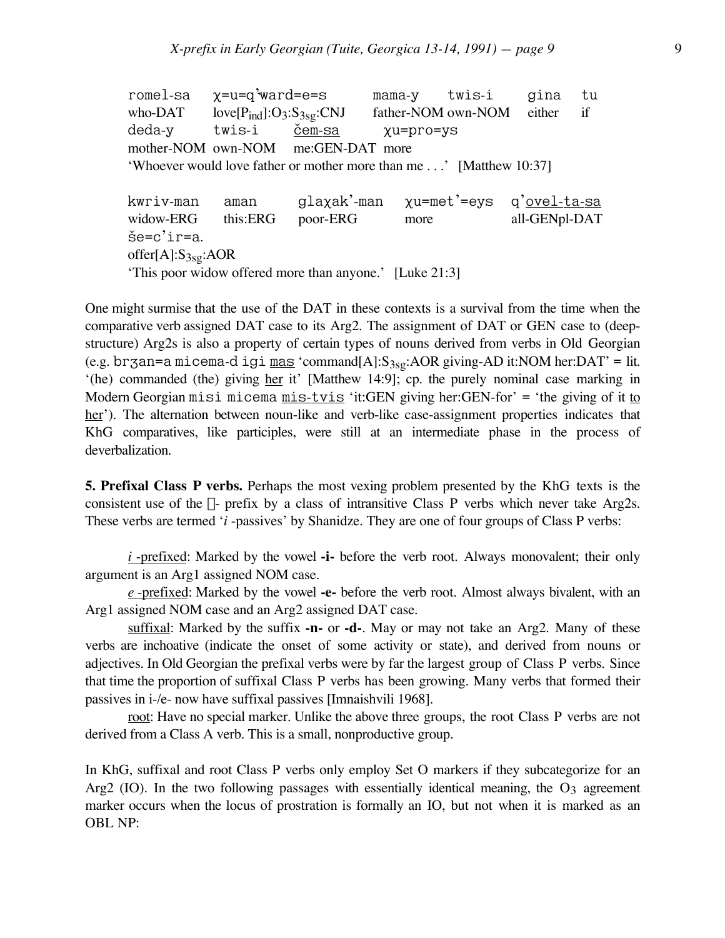romel-sa χ=u=q'ward=e=s mama-y twis-i gina tu who-DAT love[ $P_{ind}$ ]:O3:S<sub>3sg</sub>:CNJ father-NOM own-NOM either if deda-y twis-i <u>čem-sa</u> xu=pro=ys mother-NOM own-NOM me:GEN-DAT more 'Whoever would love father or mother more than me . . .' [Matthew 10:37] kwriv-man aman glaxak'-man xu=met'=eys q'<u>ovel-ta-sa</u> widow-ERG this:ERG poor-ERG more all-GENpl-DAT  $\text{še=c'ir=a.}$ offer $[A]$ : $S_{3sg}$ :AOR

'This poor widow offered more than anyone.' [Luke 21:3]

One might surmise that the use of the DAT in these contexts is a survival from the time when the comparative verb assigned DAT case to its Arg2. The assignment of DAT or GEN case to (deepstructure) Arg2s is also a property of certain types of nouns derived from verbs in Old Georgian (e.g. brzan=a micema-d igi mas 'command[A]: $S_{3sg}$ :AOR giving-AD it:NOM her:DAT' = lit. '(he) commanded (the) giving her it' [Matthew 14:9]; cp. the purely nominal case marking in Modern Georgian misi micema  $m$ is-tvis 'it:GEN giving her:GEN-for' = 'the giving of it to her'). The alternation between noun-like and verb-like case-assignment properties indicates that KhG comparatives, like participles, were still at an intermediate phase in the process of deverbalization.

**5. Prefixal Class P verbs.** Perhaps the most vexing problem presented by the KhG texts is the consistent use of the  $\chi$ - prefix by a class of intransitive Class P verbs which never take Arg2s. These verbs are termed '*i* -passives' by Shanidze. They are one of four groups of Class P verbs:

*i* -prefixed: Marked by the vowel **-i-** before the verb root. Always monovalent; their only argument is an Arg1 assigned NOM case.

*e* -prefixed: Marked by the vowel **-e-** before the verb root. Almost always bivalent, with an Arg1 assigned NOM case and an Arg2 assigned DAT case.

suffixal: Marked by the suffix **-n-** or **-d-**. May or may not take an Arg2. Many of these verbs are inchoative (indicate the onset of some activity or state), and derived from nouns or adjectives. In Old Georgian the prefixal verbs were by far the largest group of Class P verbs. Since that time the proportion of suffixal Class P verbs has been growing. Many verbs that formed their passives in i-/e- now have suffixal passives [Imnaishvili 1968].

root: Have no special marker. Unlike the above three groups, the root Class P verbs are not derived from a Class A verb. This is a small, nonproductive group.

In KhG, suffixal and root Class P verbs only employ Set O markers if they subcategorize for an Arg2 (IO). In the two following passages with essentially identical meaning, the  $O_3$  agreement marker occurs when the locus of prostration is formally an IO, but not when it is marked as an OBL NP: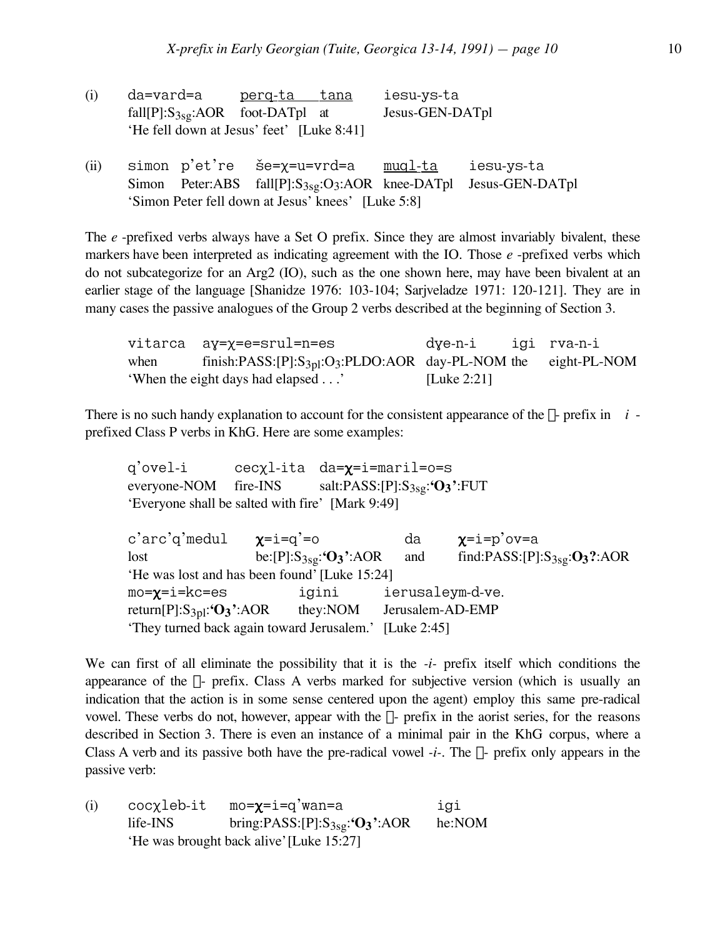| (i) | da=vard=a                                 | <u>perq-ta tana</u> | iesu-ys-ta      |
|-----|-------------------------------------------|---------------------|-----------------|
|     | $fall[P]: S_{3sg}: AOR$ foot-DATpl at     |                     | Jesus-GEN-DATpl |
|     | 'He fell down at Jesus' feet' [Luke 8:41] |                     |                 |

(ii) simon  $p'$ et're še= $\chi$ =u=vrd=a <u>muql-ta</u> iesu-ys-ta Simon Peter:ABS fall[P]:S<sub>3sg</sub>:O<sub>3</sub>:AOR knee-DATpl Jesus-GEN-DATpl 'Simon Peter fell down at Jesus' knees' [Luke 5:8]

The *e* -prefixed verbs always have a Set O prefix. Since they are almost invariably bivalent, these markers have been interpreted as indicating agreement with the IO. Those *e* -prefixed verbs which do not subcategorize for an Arg2 (IO), such as the one shown here, may have been bivalent at an earlier stage of the language [Shanidze 1976: 103-104; Sarjveladze 1971: 120-121]. They are in many cases the passive analogues of the Group 2 verbs described at the beginning of Section 3.

vitarca ay=x=e=srul=n=es dye-n-i igi rva-n-i when finish:PASS:[P]:S<sub>3pl</sub>:O<sub>3</sub>:PLDO:AOR day-PL-NOM the eight-PL-NOM 'When the eight days had elapsed . . .' [Luke 2:21]

There is no such handy explanation to account for the consistent appearance of the  $\chi$ - prefix in *i* prefixed Class P verbs in KhG. Here are some examples:

q'ovel-i cecxl-ita da=x=i=maril=o=s everyone-NOM fire-INS salt:PASS:[P]:S<sub>3sg</sub>:**'O<sub>3</sub>'**:FUT 'Everyone shall be salted with fire' [Mark 9:49] c'arc'q'medul  $\chi=i=q^{\prime}=0$  da  $\chi=i=p^{\prime}$ ov=a lost be:[P]:S<sub>3sg</sub>:'O<sub>3</sub>':AOR and find:PASS:[P]:S<sub>3sg</sub>:O<sub>3</sub>?:AOR 'He was lost and has been found' [Luke 15:24] mo=X=i=kc=es igini ierusaleym-d-ve. return[P]:S3pl:**'O3'**:AOR they:NOM Jerusalem-AD-EMP 'They turned back again toward Jerusalem.' [Luke 2:45]

We can first of all eliminate the possibility that it is the *-i-* prefix itself which conditions the appearance of the  $\chi$ - prefix. Class A verbs marked for subjective version (which is usually an indication that the action is in some sense centered upon the agent) employ this same pre-radical vowel. These verbs do not, however, appear with the  $\chi$ - prefix in the aorist series, for the reasons described in Section 3. There is even an instance of a minimal pair in the KhG corpus, where a Class A verb and its passive both have the pre-radical vowel  $-i$ . The  $\chi$ - prefix only appears in the passive verb:

(i)  $cocyclebit$   $mo=\chi=i=q'wan=a$  igi life-INS bring:PASS:[P]:S3sg:**'O3'**:AOR he:NOM 'He was brought back alive'[Luke 15:27]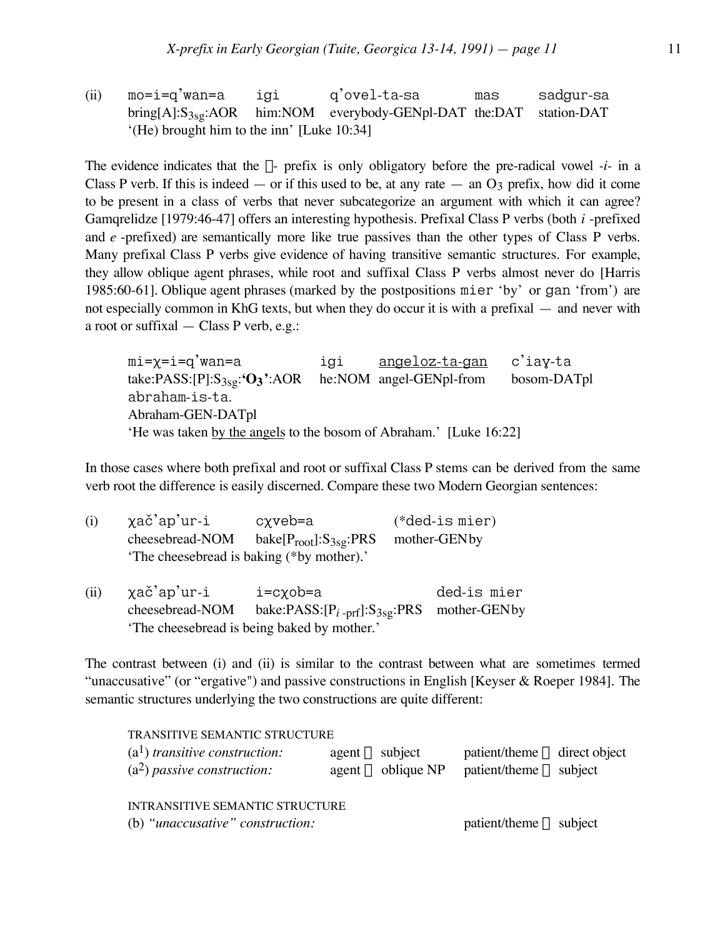(ii) mo=i=q'wan=a igi q'ovel-ta-sa mas sadgur-sa bring[A]:S<sub>3sg</sub>:AOR him:NOM everybody-GENpl-DAT the:DAT station-DAT '(He) brought him to the inn' [Luke 10:34]

The evidence indicates that the  $\chi$ - prefix is only obligatory before the pre-radical vowel *-i-* in a Class P verb. If this is indeed — or if this used to be, at any rate — an  $O_3$  prefix, how did it come to be present in a class of verbs that never subcategorize an argument with which it can agree? Gamqrelidze [1979:46-47] offers an interesting hypothesis. Prefixal Class P verbs (both *i* -prefixed and *e* -prefixed) are semantically more like true passives than the other types of Class P verbs. Many prefixal Class P verbs give evidence of having transitive semantic structures. For example, they allow oblique agent phrases, while root and suffixal Class P verbs almost never do [Harris 1985:60-61]. Oblique agent phrases (marked by the postpositions mier 'by' or gan 'from') are not especially common in KhG texts, but when they do occur it is with a prefixal — and never with a root or suffixal — Class P verb, e.g.:

mi=x=i=q'wan=a igi angeloz-ta-gan c'iay-ta take:PASS:[P]:S3sg:**'O3'**:AOR he:NOM angel-GENpl-from bosom-DATpl abraham-is-ta. Abraham-GEN-DATpl 'He was taken by the angels to the bosom of Abraham.' [Luke 16:22]

In those cases where both prefixal and root or suffixal Class P stems can be derived from the same verb root the difference is easily discerned. Compare these two Modern Georgian sentences:

| (i)  | χač'ap'ur-i     | cχveb=a                                     | $(*ded-is\,$ mier $)$ |  |
|------|-----------------|---------------------------------------------|-----------------------|--|
|      | cheesebread-NOM | bake $[P_{root}]:S_{3sg}:PRS$               | mother-GENby          |  |
|      |                 | 'The cheesebread is baking (*by mother).'   |                       |  |
| (ii) | χač'ap'ur-i     | $i = c \chi$ ob=a                           | ded-is mier           |  |
|      | cheesebread-NOM | bake:PASS: $[P_{i-prf}]:S_{3sg}:PRS$        | mother-GENby          |  |
|      |                 | 'The cheesebread is being baked by mother.' |                       |  |

The contrast between (i) and (ii) is similar to the contrast between what are sometimes termed "unaccusative" (or "ergative") and passive constructions in English [Keyser & Roeper 1984]. The semantic structures underlying the two constructions are quite different:

| TRANSITIVE SEMANTIC STRUCTURE<br>$(a1)$ transitive construction:<br>$(a2)$ passive construction: | $agent \Rightarrow subject$<br>agent $\Rightarrow$ oblique NP | $\text{patient/therme} \Rightarrow \text{direct object}$<br>$\text{patient/therme} \Rightarrow \text{subject}$ |
|--------------------------------------------------------------------------------------------------|---------------------------------------------------------------|----------------------------------------------------------------------------------------------------------------|
| INTRANSITIVE SEMANTIC STRUCTURE<br>(b) "unaccusative" construction:                              |                                                               | $\text{patient/therne} \Rightarrow \text{subject}$                                                             |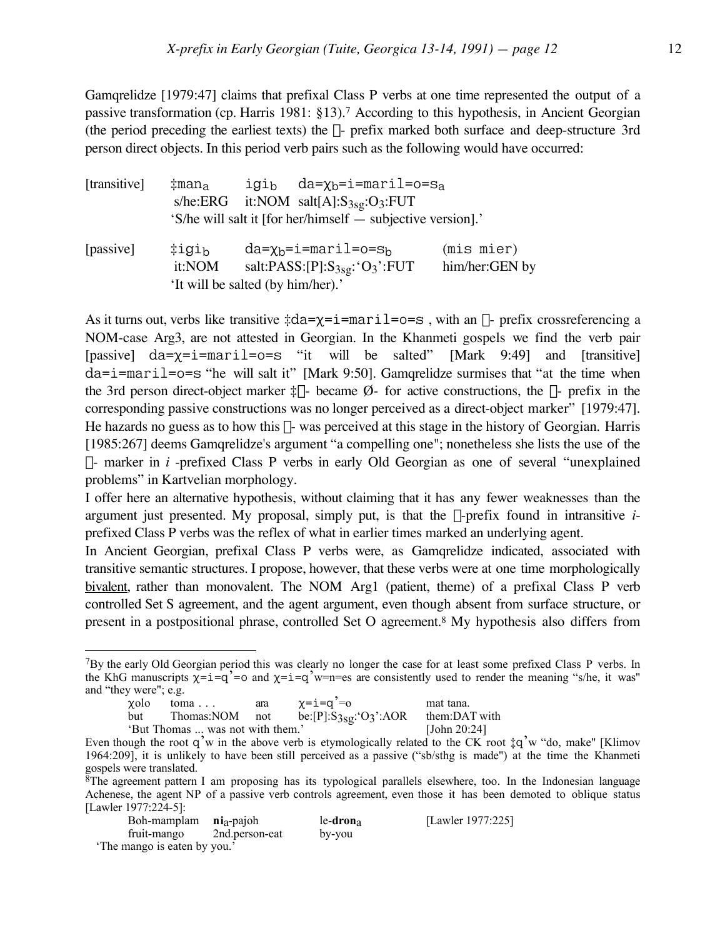Gamqrelidze [1979:47] claims that prefixal Class P verbs at one time represented the output of a passive transformation (cp. Harris 1981: §13).7 According to this hypothesis, in Ancient Georgian (the period preceding the earliest texts) the  $\chi$ - prefix marked both surface and deep-structure 3rd person direct objects. In this period verb pairs such as the following would have occurred:

| [transitive] | $\ddagger$ man <sub>a</sub>       | igi <sub>b</sub> | $da = \chi_b = i = \text{maril} = o = s_a$                                      |                              |
|--------------|-----------------------------------|------------------|---------------------------------------------------------------------------------|------------------------------|
|              |                                   |                  | $s/he:ERG$ it:NOM $salt[A]:S_{3sg}:O_3:FUT$                                     |                              |
|              |                                   |                  | 'S/he will salt it [for her/himself — subjective version].'                     |                              |
| [passive]    | ‡igi <sub>b</sub><br>it:NOM       |                  | $da = \chi_b = i = \text{maril} = o = s_b$<br>salt:PASS:[P]: $S_{3sg}:O_3$ :FUT | (mis mier)<br>him/her:GEN by |
|              | 'It will be salted (by him/her).' |                  |                                                                                 |                              |

As it turns out, verbs like transitive  $\pm da = \gamma = i = \frac{m \pi i}{1 - \gamma} =$ , with an  $\gamma$ - prefix crossreferencing a NOM-case Arg3, are not attested in Georgian. In the Khanmeti gospels we find the verb pair [passive] da= $\chi$ =i=maril=o=s "it will be salted" [Mark 9:49] and [transitive]  $da=i=mari1=o=s$  "he will salt it" [Mark 9:50]. Gamarelidze surmises that "at the time when the 3rd person direct-object marker  $\ddagger \chi$ - became  $\varnothing$ - for active constructions, the  $\chi$ - prefix in the corresponding passive constructions was no longer perceived as a direct-object marker" [1979:47]. He hazards no guess as to how this  $\gamma$ - was perceived at this stage in the history of Georgian. Harris [1985:267] deems Gamqrelidze's argument "a compelling one"; nonetheless she lists the use of the  $\chi$ - marker in *i* -prefixed Class P verbs in early Old Georgian as one of several "unexplained" problems" in Kartvelian morphology.

I offer here an alternative hypothesis, without claiming that it has any fewer weaknesses than the argument just presented. My proposal, simply put, is that the  $\gamma$ -prefix found in intransitive  $i$ prefixed Class P verbs was the reflex of what in earlier times marked an underlying agent.

In Ancient Georgian, prefixal Class P verbs were, as Gamqrelidze indicated, associated with transitive semantic structures. I propose, however, that these verbs were at one time morphologically bivalent, rather than monovalent. The NOM Arg1 (patient, theme) of a prefixal Class P verb controlled Set S agreement, and the agent argument, even though absent from surface structure, or present in a postpositional phrase, controlled Set O agreement.8 My hypothesis also differs from

<sup>7</sup>By the early Old Georgian period this was clearly no longer the case for at least some prefixed Class P verbs. In the KhG manuscripts  $\chi = i = q' = o$  and  $\chi = i = q'w = n$  = es are consistently used to render the meaning "s/he, it was" and "they were"; e.g.

| $\sim$<br>xolo | toma                             | ara | $\chi$ =i=q'=o              | mat tana.       |
|----------------|----------------------------------|-----|-----------------------------|-----------------|
| but            | Thomas:NOM not                   |     | be:[P]: $S_{3sg}:O_3$ ':AOR | them:DAT with   |
|                | 'But Thomas  was not with them.' |     |                             | [John $20:24$ ] |

 $8$ The agreement pattern I am proposing has its typological parallels elsewhere, too. In the Indonesian language Achenese, the agent NP of a passive verb controls agreement, even those it has been demoted to oblique status [Lawler 1977:224-5]:

| Boh-mamplam ni <sub>a</sub> -pajoh |                | $le$ -dron <sub>a</sub> | [Lawler 1977:225] |
|------------------------------------|----------------|-------------------------|-------------------|
| fruit-mango                        | 2nd.person-eat | by-you                  |                   |
| 'The mango is eaten by you.'       |                |                         |                   |

Even though the root q'w in the above verb is etymologically related to the CK root  $\ddagger q'w$  "do, make" [Klimov 1964:209], it is unlikely to have been still perceived as a passive ("sb/sthg is made") at the time the Khanmeti gospels were translated.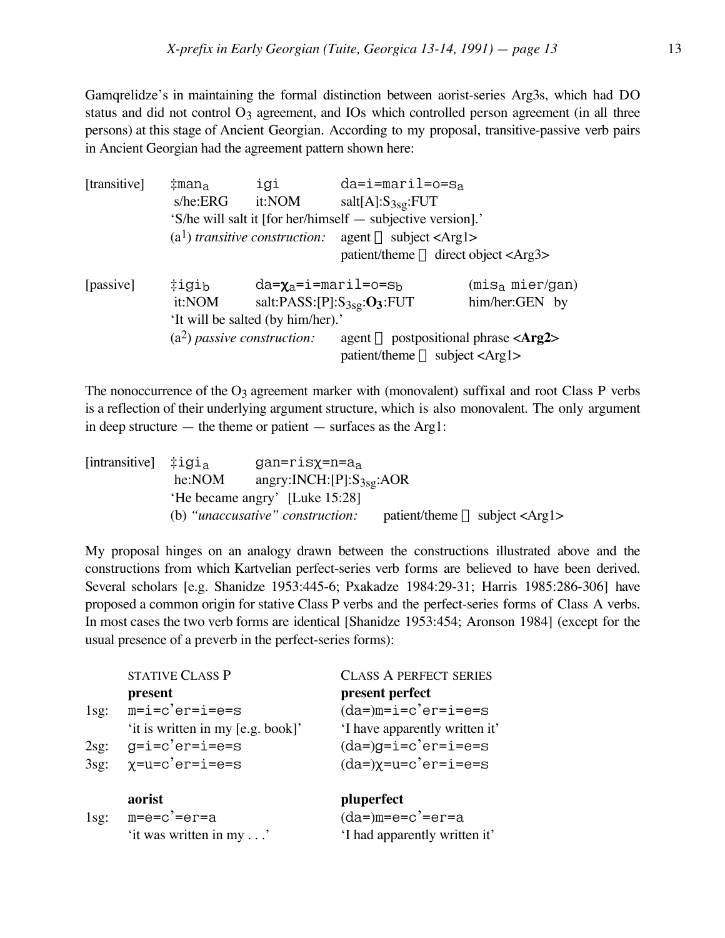Gamqrelidze's in maintaining the formal distinction between aorist-series Arg3s, which had DO status and did not control O<sub>3</sub> agreement, and IOs which controlled person agreement (in all three persons) at this stage of Ancient Georgian. According to my proposal, transitive-passive verb pairs in Ancient Georgian had the agreement pattern shown here:

| [transitive] | $\ddagger$ man <sub>a</sub>       | igi                                        | $da=i =maril = o = sa$                                                                                         |                           |  |
|--------------|-----------------------------------|--------------------------------------------|----------------------------------------------------------------------------------------------------------------|---------------------------|--|
|              | s/he:ERG                          | it:NOM                                     | $salt[A]:S_{3sg}:FUT$                                                                                          |                           |  |
|              |                                   |                                            | 'S/he will salt it [for her/himself — subjective version].'                                                    |                           |  |
|              |                                   | $(a1)$ transitive construction:            | $agent \Rightarrow subject < Arg1>$                                                                            |                           |  |
|              |                                   |                                            | $\text{patient/them} \rightleftharpoons \text{direct object} \leftleftharpoons \text{Arg3} \rightleftharpoons$ |                           |  |
| [passive]    | ‡igi <sub>b</sub>                 | $da = \chi_a = i = \text{maril} = o = s_b$ |                                                                                                                | $(mis_a \text{mier/gan})$ |  |
|              | it:NOM                            |                                            | salt:PASS:[P]: $S_{3sg}:O_3:$ FUT                                                                              | him/her:GEN by            |  |
|              | 'It will be salted (by him/her).' |                                            |                                                                                                                |                           |  |
|              |                                   | $(a2)$ passive construction:               | agent $\Rightarrow$ postpositional phrase <arg2></arg2>                                                        |                           |  |
|              |                                   |                                            | $patient/$ theme $\Rightarrow$ subject <arg1></arg1>                                                           |                           |  |

The nonoccurrence of the  $O_3$  agreement marker with (monovalent) suffixal and root Class P verbs is a reflection of their underlying argument structure, which is also monovalent. The only argument in deep structure  $-$  the theme or patient  $-$  surfaces as the Arg1:

| [intransitive] $\ddagger$ igi <sub>a</sub> |        | $gan=ris\chi=n=a_a$                      |                                                                     |
|--------------------------------------------|--------|------------------------------------------|---------------------------------------------------------------------|
|                                            | he:NOM | angry:INCH: $[P]$ :S <sub>3sg</sub> :AOR |                                                                     |
|                                            |        | 'He became angry' [Luke 15:28]           |                                                                     |
|                                            |        | (b) "unaccusative" construction:         | $\text{patient/therne} \Rightarrow \text{subject} \leq \text{Arg1}$ |

My proposal hinges on an analogy drawn between the constructions illustrated above and the constructions from which Kartvelian perfect-series verb forms are believed to have been derived. Several scholars [e.g. Shanidze 1953:445-6; Pxakadze 1984:29-31; Harris 1985:286-306] have proposed a common origin for stative Class P verbs and the perfect-series forms of Class A verbs. In most cases the two verb forms are identical [Shanidze 1953:454; Aronson 1984] (except for the usual presence of a preverb in the perfect-series forms):

|         | <b>STATIVE CLASS P</b>            | <b>CLASS A PERFECT SERIES</b>      |
|---------|-----------------------------------|------------------------------------|
|         | present                           | present perfect                    |
| $1$ sg: | $m=i=c'er=i=e=s$                  | $(da=)m=i=c'er=i=e=s$              |
|         | 'it is written in my [e.g. book]' | 'I have apparently written it'     |
| 2sg:    | $g=ie^-e^-e^-=e=s$                | $(da=)g=ie-e^{\prime}er=ie=es$     |
| 3sg:    | χ=u=c'er=i=e=s                    | $(da=)\chi=ue^-e^{\prime}er=i=e=s$ |
|         | aorist                            | pluperfect                         |
| $1$ sg: | m=e=c'=er=a                       | $(da=)m=e=c' =er=a$                |
|         | 'it was written in my'            | 'I had apparently written it'      |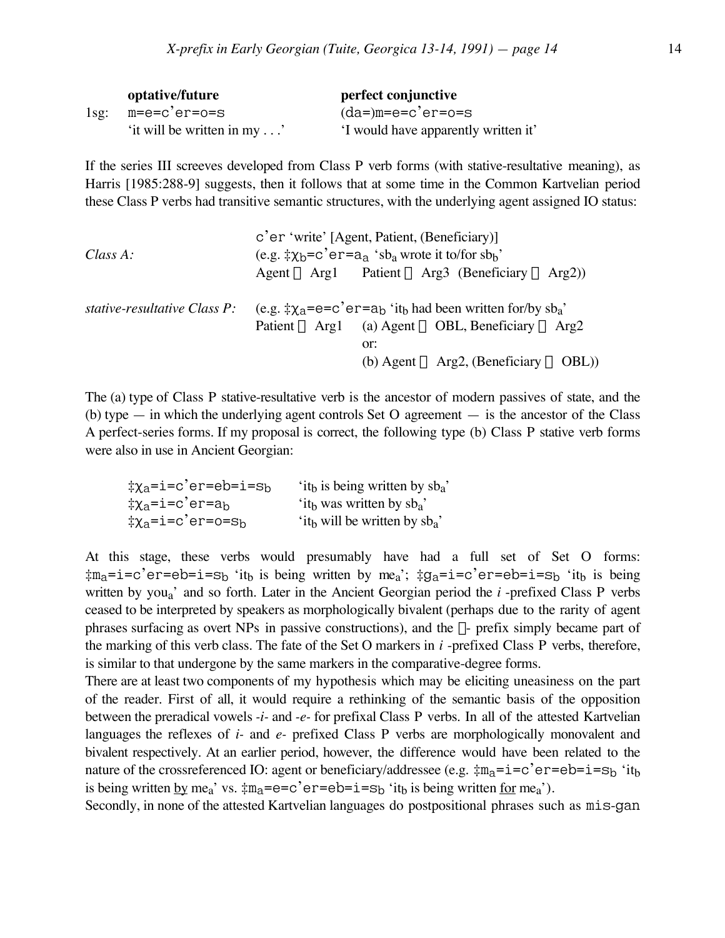|         | optative/future            | perfect conjunctive                  |
|---------|----------------------------|--------------------------------------|
| $1$ sg: | m=e=c'er=o=s               | $(da=)m=e=c'er=o=s$                  |
|         | 'it will be written in my' | 'I would have apparently written it' |

If the series III screeves developed from Class P verb forms (with stative-resultative meaning), as Harris [1985:288-9] suggests, then it follows that at some time in the Common Kartvelian period these Class P verbs had transitive semantic structures, with the underlying agent assigned IO status:

| Class A:                     | c'er 'write' [Agent, Patient, (Beneficiary)]<br>(e.g. $\ddagger \chi_b = c' e r = a_a$ 'sb <sub>a</sub> wrote it to/for sb <sub>b</sub> '<br>Agent $\Rightarrow$ Arg1 Patient $\Rightarrow$ Arg3 (Beneficiary $\Rightarrow$ Arg2)) |
|------------------------------|------------------------------------------------------------------------------------------------------------------------------------------------------------------------------------------------------------------------------------|
| stative-resultative Class P: | (e.g. $\ddagger \chi_a = e = c' e r = a_b'$ it <sub>b</sub> had been written for/by sb <sub>a</sub> '                                                                                                                              |
|                              | Patient $\Rightarrow$ Arg1 (a) Agent $\Rightarrow$ OBL, Beneficiary $\Rightarrow$ Arg2                                                                                                                                             |
|                              | or:                                                                                                                                                                                                                                |
|                              | (b) Agent $\Rightarrow$ Arg2, (Beneficiary $\Rightarrow$ OBL))                                                                                                                                                                     |

The (a) type of Class P stative-resultative verb is the ancestor of modern passives of state, and the (b) type  $-$  in which the underlying agent controls Set O agreement  $-$  is the ancestor of the Class A perfect-series forms. If my proposal is correct, the following type (b) Class P stative verb forms were also in use in Ancient Georgian:

| ‡χ <sub>a</sub> =i=c'er=eb=i=s <sub>b</sub> | 'it <sub>b</sub> is being written by sb <sub>a</sub> ' |
|---------------------------------------------|--------------------------------------------------------|
| ‡χ <sub>a</sub> =i=c'er=a <sub>b</sub>      | 'it <sub>b</sub> was written by $sb_a$ '               |
| ‡χ <sub>a</sub> =i=c'er=o=s <sub>b</sub>    | 'it <sub>b</sub> will be written by $sb_a$ '           |

At this stage, these verbs would presumably have had a full set of Set O forms:  $\text{\#m}_a$ =i=c'er=eb=i=s<sub>b</sub> 'it<sub>b</sub> is being written by me<sub>a</sub>';  $\text{\#g}_a$ =i=c'er=eb=i=s<sub>b</sub> 'it<sub>b</sub> is being written by youa' and so forth. Later in the Ancient Georgian period the *i* -prefixed Class P verbs ceased to be interpreted by speakers as morphologically bivalent (perhaps due to the rarity of agent phrases surfacing as overt NPs in passive constructions), and the  $\chi$ - prefix simply became part of the marking of this verb class. The fate of the Set O markers in *i* -prefixed Class P verbs, therefore, is similar to that undergone by the same markers in the comparative-degree forms.

There are at least two components of my hypothesis which may be eliciting uneasiness on the part of the reader. First of all, it would require a rethinking of the semantic basis of the opposition between the preradical vowels *-i-* and *-e-* for prefixal Class P verbs. In all of the attested Kartvelian languages the reflexes of *i-* and *e-* prefixed Class P verbs are morphologically monovalent and bivalent respectively. At an earlier period, however, the difference would have been related to the nature of the crossreferenced IO: agent or beneficiary/addressee (e.g.  $\ddagger m_a = i = c'e^-e^-e^i = s_b$  'it<sub>b</sub> is being written by me<sub>a</sub>' vs.  $\pm m_a = e = c'e = e$  is  $\pm i = s_b$  'it<sub>b</sub> is being written <u>for</u> me<sub>a</sub>').

Secondly, in none of the attested Kartvelian languages do postpositional phrases such as mis-gan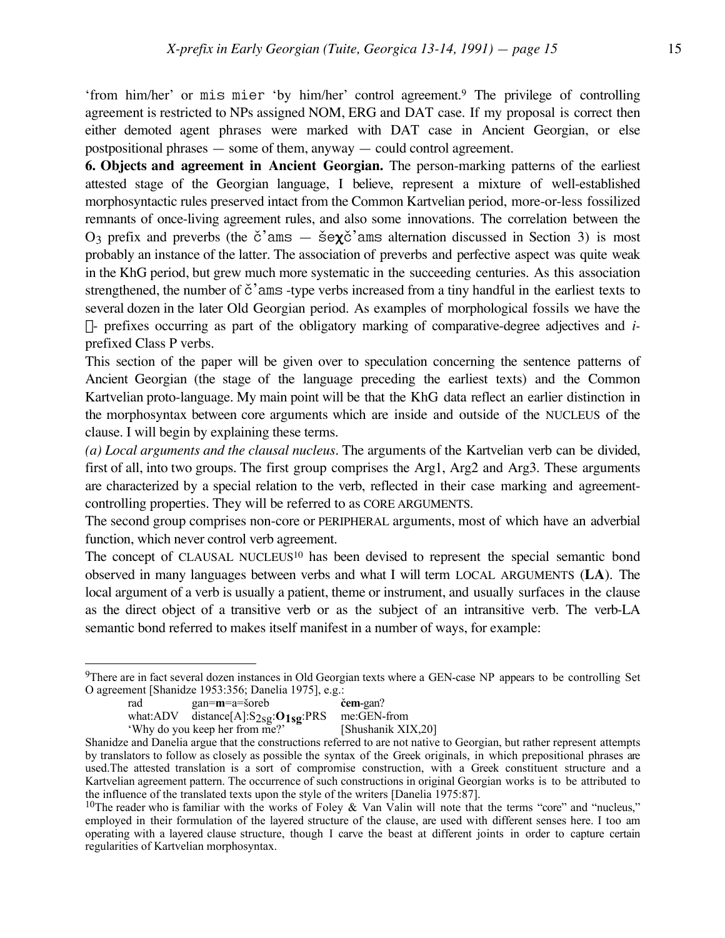**6. Objects and agreement in Ancient Georgian.** The person-marking patterns of the earliest attested stage of the Georgian language, I believe, represent a mixture of well-established morphosyntactic rules preserved intact from the Common Kartvelian period, more-or-less fossilized remnants of once-living agreement rules, and also some innovations. The correlation between the  $O_3$  prefix and preverbs (the  $\check{c}$ 'ams —  $\check{s}e\chi\check{c}$ 'ams alternation discussed in Section 3) is most probably an instance of the latter. The association of preverbs and perfective aspect was quite weak in the KhG period, but grew much more systematic in the succeeding centuries. As this association strengthened, the number of  $\check{c}$ 'ams -type verbs increased from a tiny handful in the earliest texts to several dozen in the later Old Georgian period. As examples of morphological fossils we have the  $\chi$ - prefixes occurring as part of the obligatory marking of comparative-degree adjectives and *i*prefixed Class P verbs.

This section of the paper will be given over to speculation concerning the sentence patterns of Ancient Georgian (the stage of the language preceding the earliest texts) and the Common Kartvelian proto-language. My main point will be that the KhG data reflect an earlier distinction in the morphosyntax between core arguments which are inside and outside of the NUCLEUS of the clause. I will begin by explaining these terms.

*(a) Local arguments and the clausal nucleus.* The arguments of the Kartvelian verb can be divided, first of all, into two groups. The first group comprises the Arg1, Arg2 and Arg3. These arguments are characterized by a special relation to the verb, reflected in their case marking and agreementcontrolling properties. They will be referred to as CORE ARGUMENTS.

The second group comprises non-core or PERIPHERAL arguments, most of which have an adverbial function, which never control verb agreement.

The concept of CLAUSAL NUCLEUS<sup>10</sup> has been devised to represent the special semantic bond observed in many languages between verbs and what I will term LOCAL ARGUMENTS (**LA**). The local argument of a verb is usually a patient, theme or instrument, and usually surfaces in the clause as the direct object of a transitive verb or as the subject of an intransitive verb. The verb-LA semantic bond referred to makes itself manifest in a number of ways, for example:

 $\overline{a}$ 

'Why do you keep her from me?'

<sup>&</sup>lt;sup>9</sup>There are in fact several dozen instances in Old Georgian texts where a GEN-case NP appears to be controlling Set O agreement [Shanidze 1953:356; Danelia 1975], e.g.:

rad gan=m=a=soreb **cem**-gan?

what:ADV distance[A]:S<sub>2sg</sub>:O<sub>1sg</sub>:PRS me:GEN-from<br>'Why do you keep her from me?' [Shushanik XIX,20]

Shanidze and Danelia argue that the constructions referred to are not native to Georgian, but rather represent attempts by translators to follow as closely as possible the syntax of the Greek originals, in which prepositional phrases are used.The attested translation is a sort of compromise construction, with a Greek constituent structure and a Kartvelian agreement pattern. The occurrence of such constructions in original Georgian works is to be attributed to the influence of the translated texts upon the style of the writers [Danelia 1975:87].

<sup>&</sup>lt;sup>10</sup>The reader who is familiar with the works of Foley & Van Valin will note that the terms "core" and "nucleus," employed in their formulation of the layered structure of the clause, are used with different senses here. I too am operating with a layered clause structure, though I carve the beast at different joints in order to capture certain regularities of Kartvelian morphosyntax.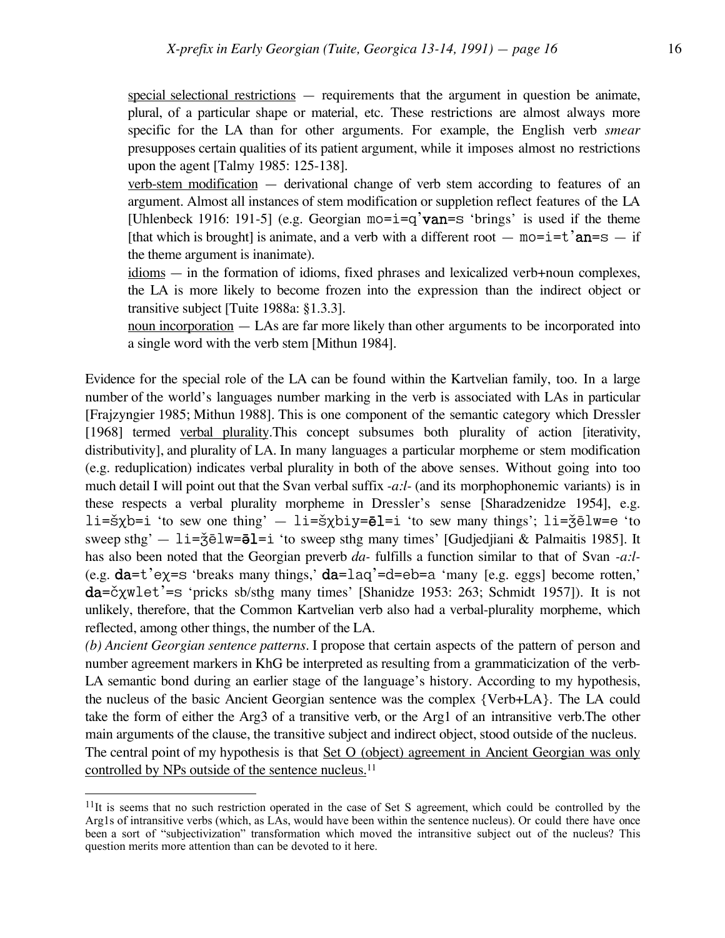special selectional restrictions — requirements that the argument in question be animate, plural, of a particular shape or material, etc. These restrictions are almost always more specific for the LA than for other arguments. For example, the English verb *smear* presupposes certain qualities of its patient argument, while it imposes almost no restrictions upon the agent [Talmy 1985: 125-138].

verb-stem modification — derivational change of verb stem according to features of an argument. Almost all instances of stem modification or suppletion reflect features of the LA [Uhlenbeck 1916: 191-5] (e.g. Georgian  $mo=i=q'van=s$  'brings' is used if the theme [that which is brought] is animate, and a verb with a different root  $-$  mo=i=t  $an=$ =s  $-$  if the theme argument is inanimate).

idioms — in the formation of idioms, fixed phrases and lexicalized verb+noun complexes, the LA is more likely to become frozen into the expression than the indirect object or transitive subject [Tuite 1988a: §1.3.3].

noun incorporation — LAs are far more likely than other arguments to be incorporated into a single word with the verb stem [Mithun 1984].

Evidence for the special role of the LA can be found within the Kartvelian family, too. In a large number of the world's languages number marking in the verb is associated with LAs in particular [Frajzyngier 1985; Mithun 1988]. This is one component of the semantic category which Dressler [1968] termed verbal plurality.This concept subsumes both plurality of action [iterativity, distributivity], and plurality of LA. In many languages a particular morpheme or stem modification (e.g. reduplication) indicates verbal plurality in both of the above senses. Without going into too much detail I will point out that the Svan verbal suffix *-a:l-* (and its morphophonemic variants) is in these respects a verbal plurality morpheme in Dressler's sense [Sharadzenidze 1954], e.g. li= $\frac{1}{2}\times\frac{1}{2}$  'to sew one thing'  $-$  li= $\frac{1}{2}\times\frac{1}{2}$  =  $\frac{1}{2}$  'to sew many things'; li= $\frac{1}{2}\times\frac{1}{2}$  = 'to sweep sthg'  $- 1i = \xi \bar{e} 1w = \bar{e} 1 = i$  'to sweep sthg many times' [Gudjedjiani & Palmaitis 1985]. It has also been noted that the Georgian preverb *da-* fulfills a function similar to that of Svan *-a:l-* (e.g.  $da = t'ey = s'$  breaks many things,'  $da = laq' = d = eb = a'$  many [e.g. eggs] become rotten,'  $da = \check{c}$  xwlet'=s 'pricks sb/sthg many times' [Shanidze 1953: 263; Schmidt 1957]). It is not unlikely, therefore, that the Common Kartvelian verb also had a verbal-plurality morpheme, which reflected, among other things, the number of the LA.

*(b) Ancient Georgian sentence patterns.* I propose that certain aspects of the pattern of person and number agreement markers in KhG be interpreted as resulting from a grammaticization of the verb-LA semantic bond during an earlier stage of the language's history. According to my hypothesis, the nucleus of the basic Ancient Georgian sentence was the complex {Verb+LA}. The LA could take the form of either the Arg3 of a transitive verb, or the Arg1 of an intransitive verb.The other main arguments of the clause, the transitive subject and indirect object, stood outside of the nucleus. The central point of my hypothesis is that Set O (object) agreement in Ancient Georgian was only controlled by NPs outside of the sentence nucleus.<sup>11</sup>

 $11$ It is seems that no such restriction operated in the case of Set S agreement, which could be controlled by the Arg1s of intransitive verbs (which, as LAs, would have been within the sentence nucleus). Or could there have once been a sort of "subjectivization" transformation which moved the intransitive subject out of the nucleus? This question merits more attention than can be devoted to it here.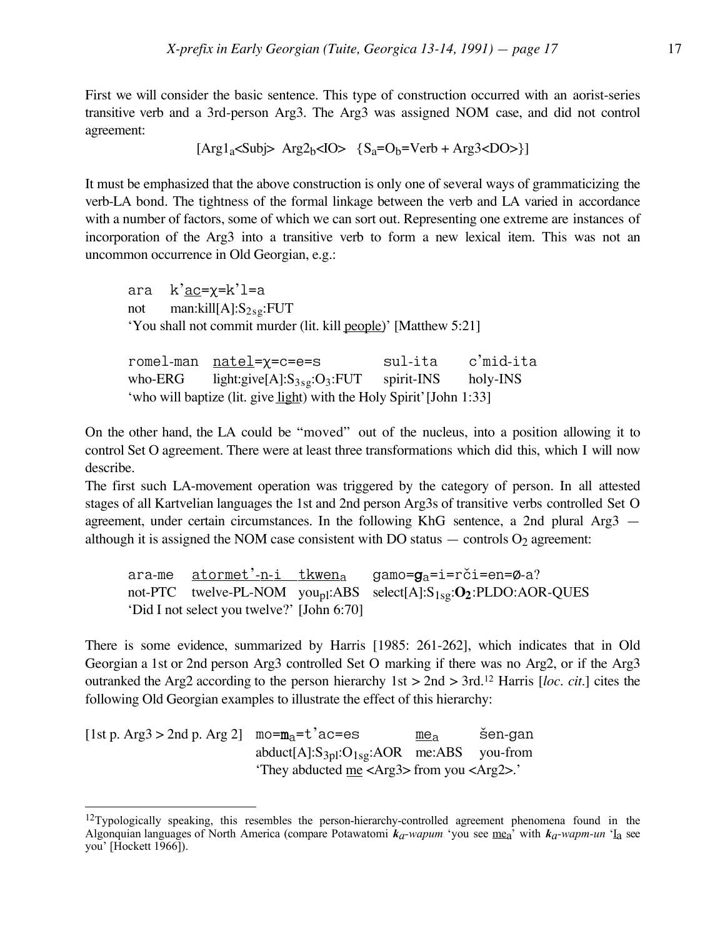First we will consider the basic sentence. This type of construction occurred with an aorist-series transitive verb and a 3rd-person Arg3. The Arg3 was assigned NOM case, and did not control agreement:

$$
[Arg1_a < Subj> Arg2_b < IO> \{S_a = O_b = Verb + Arg3 < DO> \}]
$$

It must be emphasized that the above construction is only one of several ways of grammaticizing the verb-LA bond. The tightness of the formal linkage between the verb and LA varied in accordance with a number of factors, some of which we can sort out. Representing one extreme are instances of incorporation of the Arg3 into a transitive verb to form a new lexical item. This was not an uncommon occurrence in Old Georgian, e.g.:

ara  $k'ac = x=k'l=a$ not man: $kill[A]:S_{2sq}:FUT$ 'You shall not commit murder (lit. kill people)' [Matthew 5:21]

|                                                                       | romel-man <u>natel</u> =χ=c=e=s              | sul-ita | c'mid-ita |  |  |
|-----------------------------------------------------------------------|----------------------------------------------|---------|-----------|--|--|
| who-ERG                                                               | light:give[A]: $S_{3sg}:O_3$ :FUT spirit-INS |         | holy-INS  |  |  |
| 'who will baptize (lit. give light) with the Holy Spirit' [John 1:33] |                                              |         |           |  |  |

On the other hand, the LA could be "moved" out of the nucleus, into a position allowing it to control Set O agreement. There were at least three transformations which did this, which I will now describe.

The first such LA-movement operation was triggered by the category of person. In all attested stages of all Kartvelian languages the 1st and 2nd person Arg3s of transitive verbs controlled Set O agreement, under certain circumstances. In the following KhG sentence, a 2nd plural Arg3 although it is assigned the NOM case consistent with DO status  $-$  controls  $O_2$  agreement:

ara-me <u>atormet'-n-i tkwen<sub>a</sub></u> gamo= $g_a$ =i=rči=en=Ø-a?<br>not-PTC twelve-PL-NOM you<sub>nl</sub>:ABS select(Al:S<sub>1sg</sub>:O<sub>2</sub>:PLDO:AOI twelve-PL-NOM you<sub>pl</sub>:ABS select[A]:S<sub>1sg</sub>:O<sub>2</sub>:PLDO:AOR-QUES 'Did I not select you twelve?' [John 6:70]

There is some evidence, summarized by Harris [1985: 261-262], which indicates that in Old Georgian a 1st or 2nd person Arg3 controlled Set O marking if there was no Arg2, or if the Arg3 outranked the Arg2 according to the person hierarchy 1st > 2nd > 3rd.12 Harris [*loc. cit.*] cites the following Old Georgian examples to illustrate the effect of this hierarchy:

[1st p. Arg3 > 2nd p. Arg 2]  $\text{mo=m}_{a} = t^{\dagger}$  ac=es  $\frac{\text{me}_{a}}{\text{abduct}[A]:S_{3}^{3} \cdot 0.01 \text{ s} \cdot 0.01 \text{ s} \cdot 0.01 \text{ s}}$  is en-gan abduct $[A]:S_{3pl}:O_{1sg}:AOR$  me:ABS 'They abducted me <Arg3> from you <Arg2>.'

<sup>&</sup>lt;sup>12</sup>Typologically speaking, this resembles the person-hierarchy-controlled agreement phenomena found in the Algonquian languages of North America (compare Potawatomi  $k_a$ -wapum 'you see me<sub>a</sub>' with  $k_a$ -wapm-un ' $I_a$  see you' [Hockett 1966]).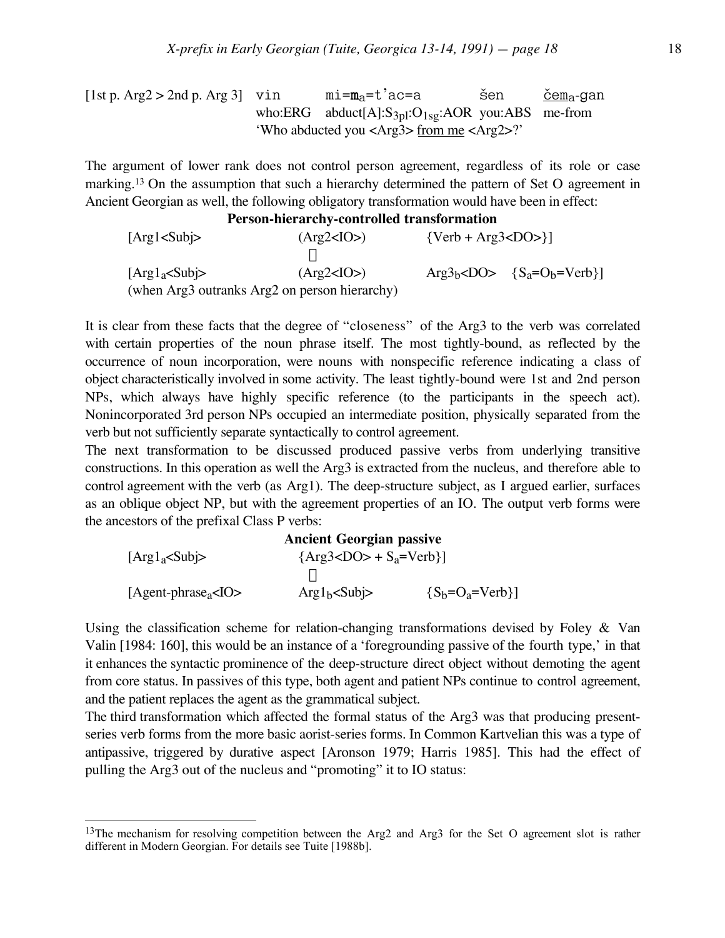[1st p. Arg2 > 2nd p. Arg 3] vin 
$$
m = m_a = t'ac = a
$$
 šen  $\underline{\text{čem}}_a$ -gan   
who:ERG abduct[A]:S<sub>3pl</sub>:O<sub>1sg</sub>:AOR you:ABS me-from   
"Who abducted you  from me ?

The argument of lower rank does not control person agreement, regardless of its role or case marking.13 On the assumption that such a hierarchy determined the pattern of Set O agreement in Ancient Georgian as well, the following obligatory transformation would have been in effect:

### **Person-hierarchy-controlled transformation**

 $[Arg1 < Sub5]$   $(Arg2 < IO>)$   ${Verb + Arg3 < DO>}\]$  fl  $[\text{Arg1}_a \leq \text{Subi} >$   $(\text{Arg2} \leq \text{IO} >)$   $\text{Arg3}_b \leq \text{DO} > {\{S_a = O_b = \text{Verb}\}\$ (when Arg3 outranks Arg2 on person hierarchy)

It is clear from these facts that the degree of "closeness" of the Arg3 to the verb was correlated with certain properties of the noun phrase itself. The most tightly-bound, as reflected by the occurrence of noun incorporation, were nouns with nonspecific reference indicating a class of object characteristically involved in some activity. The least tightly-bound were 1st and 2nd person NPs, which always have highly specific reference (to the participants in the speech act). Nonincorporated 3rd person NPs occupied an intermediate position, physically separated from the verb but not sufficiently separate syntactically to control agreement.

The next transformation to be discussed produced passive verbs from underlying transitive constructions. In this operation as well the Arg3 is extracted from the nucleus, and therefore able to control agreement with the verb (as Arg1). The deep-structure subject, as I argued earlier, surfaces as an oblique object NP, but with the agreement properties of an IO. The output verb forms were the ancestors of the prefixal Class P verbs:

|                        | <b>Ancient Georgian passive</b>    |                  |
|------------------------|------------------------------------|------------------|
| $[Arg1_a Sub]$         | $\{Arg3 < DO$ + $S_a$ =Verb $\}$ ] |                  |
|                        |                                    |                  |
| $[Agent-phrasea < 10>$ | Arg1 <sub>b</sub> < Subi>          | ${S_h=O_a=Verb}$ |

Using the classification scheme for relation-changing transformations devised by Foley & Van Valin [1984: 160], this would be an instance of a 'foregrounding passive of the fourth type,' in that it enhances the syntactic prominence of the deep-structure direct object without demoting the agent from core status. In passives of this type, both agent and patient NPs continue to control agreement, and the patient replaces the agent as the grammatical subject.

The third transformation which affected the formal status of the Arg3 was that producing presentseries verb forms from the more basic aorist-series forms. In Common Kartvelian this was a type of antipassive, triggered by durative aspect [Aronson 1979; Harris 1985]. This had the effect of pulling the Arg3 out of the nucleus and "promoting" it to IO status:

<sup>&</sup>lt;sup>13</sup>The mechanism for resolving competition between the Arg2 and Arg3 for the Set O agreement slot is rather different in Modern Georgian. For details see Tuite [1988b].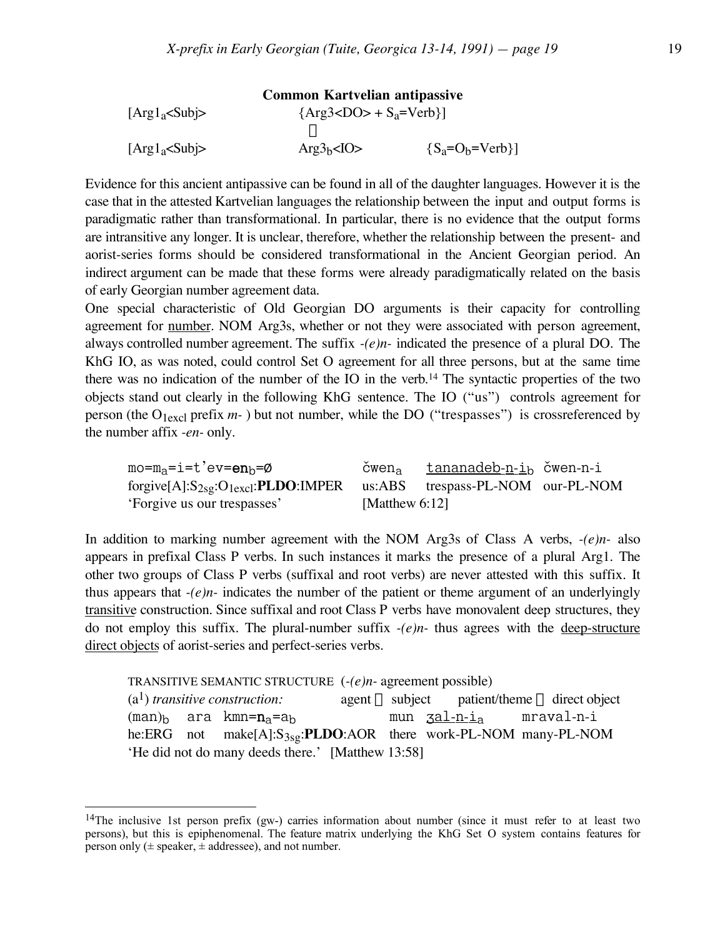|                | <b>Common Kartvelian antipassive</b> |                      |
|----------------|--------------------------------------|----------------------|
| $[Arg1_aSub]$  | $\{Arg3 < DO$ + $S_a$ =Verb $\}$     |                      |
|                |                                      |                      |
| $[Arg1_a Sub]$ | $Arg3_h<10>$                         | ${S_a = O_b = Verb}$ |

Evidence for this ancient antipassive can be found in all of the daughter languages. However it is the case that in the attested Kartvelian languages the relationship between the input and output forms is paradigmatic rather than transformational. In particular, there is no evidence that the output forms are intransitive any longer. It is unclear, therefore, whether the relationship between the present- and aorist-series forms should be considered transformational in the Ancient Georgian period. An indirect argument can be made that these forms were already paradigmatically related on the basis of early Georgian number agreement data.

One special characteristic of Old Georgian DO arguments is their capacity for controlling agreement for number. NOM Arg3s, whether or not they were associated with person agreement, always controlled number agreement. The suffix *-(e)n-* indicated the presence of a plural DO. The KhG IO, as was noted, could control Set O agreement for all three persons, but at the same time there was no indication of the number of the IO in the verb.14 The syntactic properties of the two objects stand out clearly in the following KhG sentence. The IO ("us") controls agreement for person (the  $O_{1 \text{excl}}$  prefix  $m$ -) but not number, while the DO ("trespasses") is crossreferenced by the number affix *-en-* only.

 $mo=m_a=i=t'ev=\mathbf{en}_b=\emptyset$   $\check{c}wen_a$   $\underline{t}annadeb-n_i_b$   $\check{c}wen-n-i$ <br>forgive[A]: $S_{2so}:O_{1excl}:$ **PLDO**:IMPER us:ABS trespass-PL-NOM our-PL-NOM forgive $[A]:S_{2sg}:O_{1excl}:PLDO:IMPER$  us:ABS 'Forgive us our trespasses' [Matthew 6:12]

In addition to marking number agreement with the NOM Arg3s of Class A verbs, *-(e)n-* also appears in prefixal Class P verbs. In such instances it marks the presence of a plural Arg1. The other two groups of Class P verbs (suffixal and root verbs) are never attested with this suffix. It thus appears that *-(e)n-* indicates the number of the patient or theme argument of an underlyingly transitive construction. Since suffixal and root Class P verbs have monovalent deep structures, they do not employ this suffix. The plural-number suffix *-(e)n-* thus agrees with the deep-structure direct objects of aorist-series and perfect-series verbs.

TRANSITIVE SEMANTIC STRUCTURE (*-(e)n-* agreement possible)

|  | $(a1)$ transitive construction:                   |  | $agent \Rightarrow subject \qquad patient/them \Rightarrow direct \; object$ |
|--|---------------------------------------------------|--|------------------------------------------------------------------------------|
|  | $(man)_b$ ara kmn= $n_a$ =a <sub>h</sub>          |  | mun <u>ʒal-n-ia</u> mraval-n-i                                               |
|  |                                                   |  | he:ERG not make[A]:S <sub>3sg</sub> :PLDO:AOR there work-PL-NOM many-PL-NOM  |
|  | 'He did not do many deeds there.' [Matthew 13:58] |  |                                                                              |

<sup>&</sup>lt;sup>14</sup>The inclusive 1st person prefix (gw-) carries information about number (since it must refer to at least two persons), but this is epiphenomenal. The feature matrix underlying the KhG Set O system contains features for person only  $(\pm$  speaker,  $\pm$  addressee), and not number.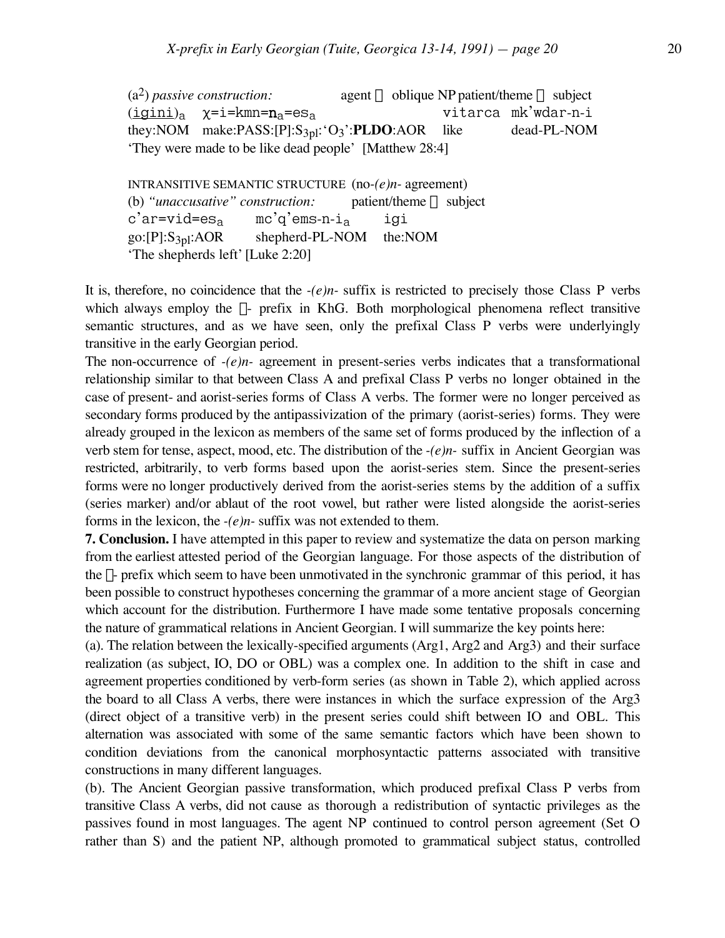$(a<sup>2</sup>)$  *passive construction:* agent  $\Rightarrow$  oblique NP patient/theme  $\Rightarrow$  subject  $(\underline{igini})_a$   $\chi = i = kmn = n_a = es_a$  vitarca mk'wdar-n-i<br>they:NOM make:PASS:[P]:S<sub>3pl</sub>:'O<sub>3</sub>':**PLDO**:AOR like dead-PL-NOM they:NOM make:PASS:[P]:S<sub>3pl</sub>:'O<sub>3</sub>':PLDO:AOR 'They were made to be like dead people' [Matthew 28:4]

INTRANSITIVE SEMANTIC STRUCTURE (no*-(e)n-* agreement) (b) "*unaccusative" construction*: patient/theme  $\Rightarrow$  subject c'ar=vid=es<sub>a</sub> mc'q'ems-n-i<sub>a</sub> igi<br>go:[P]:S<sub>3pl</sub>:AOR shepherd-PL-NOM the:N shepherd-PL-NOM the:NOM 'The shepherds left' [Luke 2:20]

It is, therefore, no coincidence that the *-(e)n-* suffix is restricted to precisely those Class P verbs which always employ the  $\chi$ - prefix in KhG. Both morphological phenomena reflect transitive semantic structures, and as we have seen, only the prefixal Class P verbs were underlyingly transitive in the early Georgian period.

The non-occurrence of *-(e)n-* agreement in present-series verbs indicates that a transformational relationship similar to that between Class A and prefixal Class P verbs no longer obtained in the case of present- and aorist-series forms of Class A verbs. The former were no longer perceived as secondary forms produced by the antipassivization of the primary (aorist-series) forms. They were already grouped in the lexicon as members of the same set of forms produced by the inflection of a verb stem for tense, aspect, mood, etc. The distribution of the *-(e)n-* suffix in Ancient Georgian was restricted, arbitrarily, to verb forms based upon the aorist-series stem. Since the present-series forms were no longer productively derived from the aorist-series stems by the addition of a suffix (series marker) and/or ablaut of the root vowel, but rather were listed alongside the aorist-series forms in the lexicon, the *-(e)n-* suffix was not extended to them.

**7. Conclusion.** I have attempted in this paper to review and systematize the data on person marking from the earliest attested period of the Georgian language. For those aspects of the distribution of the  $\chi$ - prefix which seem to have been unmotivated in the synchronic grammar of this period, it has been possible to construct hypotheses concerning the grammar of a more ancient stage of Georgian which account for the distribution. Furthermore I have made some tentative proposals concerning the nature of grammatical relations in Ancient Georgian. I will summarize the key points here:

(a). The relation between the lexically-specified arguments (Arg1, Arg2 and Arg3) and their surface realization (as subject, IO, DO or OBL) was a complex one. In addition to the shift in case and agreement properties conditioned by verb-form series (as shown in Table 2), which applied across the board to all Class A verbs, there were instances in which the surface expression of the Arg3 (direct object of a transitive verb) in the present series could shift between IO and OBL. This alternation was associated with some of the same semantic factors which have been shown to condition deviations from the canonical morphosyntactic patterns associated with transitive constructions in many different languages.

(b). The Ancient Georgian passive transformation, which produced prefixal Class P verbs from transitive Class A verbs, did not cause as thorough a redistribution of syntactic privileges as the passives found in most languages. The agent NP continued to control person agreement (Set O rather than S) and the patient NP, although promoted to grammatical subject status, controlled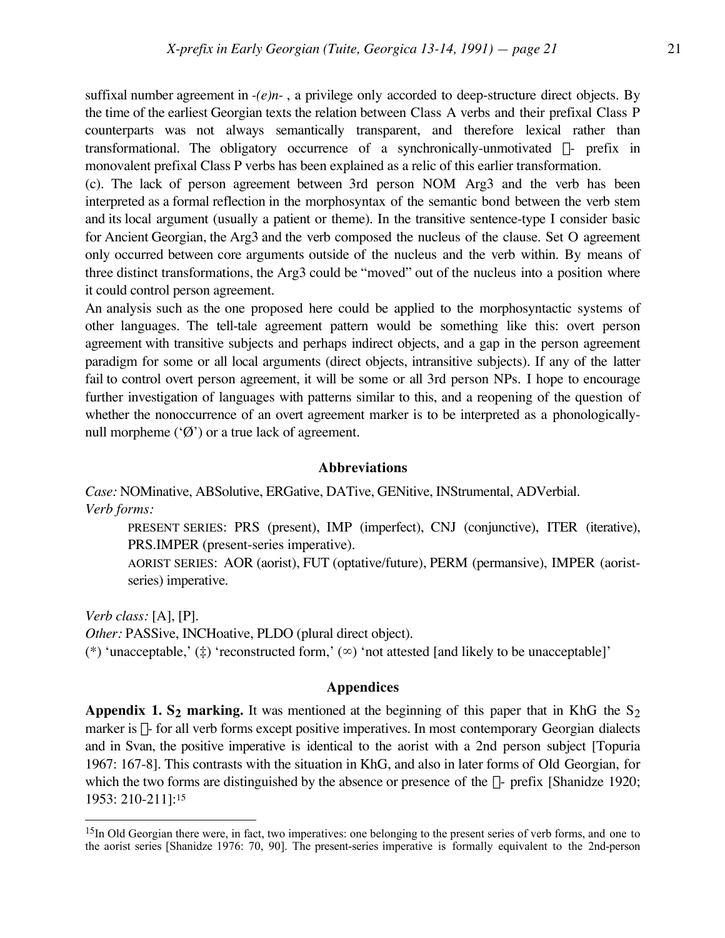suffixal number agreement in *-(e)n-* , a privilege only accorded to deep-structure direct objects. By the time of the earliest Georgian texts the relation between Class A verbs and their prefixal Class P counterparts was not always semantically transparent, and therefore lexical rather than transformational. The obligatory occurrence of a synchronically-unmotivated  $\chi$ - prefix in monovalent prefixal Class P verbs has been explained as a relic of this earlier transformation.

(c). The lack of person agreement between 3rd person NOM Arg3 and the verb has been interpreted as a formal reflection in the morphosyntax of the semantic bond between the verb stem and its local argument (usually a patient or theme). In the transitive sentence-type I consider basic for Ancient Georgian, the Arg3 and the verb composed the nucleus of the clause. Set O agreement only occurred between core arguments outside of the nucleus and the verb within. By means of three distinct transformations, the Arg3 could be "moved" out of the nucleus into a position where it could control person agreement.

An analysis such as the one proposed here could be applied to the morphosyntactic systems of other languages. The tell-tale agreement pattern would be something like this: overt person agreement with transitive subjects and perhaps indirect objects, and a gap in the person agreement paradigm for some or all local arguments (direct objects, intransitive subjects). If any of the latter fail to control overt person agreement, it will be some or all 3rd person NPs. I hope to encourage further investigation of languages with patterns similar to this, and a reopening of the question of whether the nonoccurrence of an overt agreement marker is to be interpreted as a phonologicallynull morpheme  $(\mathcal{O})$  or a true lack of agreement.

#### **Abbreviations**

*Case:* NOMinative, ABSolutive, ERGative, DATive, GENitive, INStrumental, ADVerbial. *Verb forms:*

PRESENT SERIES: PRS (present), IMP (imperfect), CNJ (conjunctive), ITER (iterative), PRS.IMPER (present-series imperative).

AORIST SERIES: AOR (aorist), FUT (optative/future), PERM (permansive), IMPER (aoristseries) imperative.

*Verb class:* [A], [P].

 $\overline{a}$ 

*Other:* PASSive, INCHoative, PLDO (plural direct object).

(\*) 'unacceptable,' ( $\ddagger$ ) 'reconstructed form,' ( $\infty$ ) 'not attested [and likely to be unacceptable]'

#### **Appendices**

Appendix 1. S<sub>2</sub> marking. It was mentioned at the beginning of this paper that in KhG the S<sub>2</sub> marker is  $\chi$ - for all verb forms except positive imperatives. In most contemporary Georgian dialects and in Svan, the positive imperative is identical to the aorist with a 2nd person subject [Topuria 1967: 167-8]. This contrasts with the situation in KhG, and also in later forms of Old Georgian, for which the two forms are distinguished by the absence or presence of the  $\chi$ - prefix [Shanidze 1920; 1953: 210-211]:15

<sup>&</sup>lt;sup>15</sup>In Old Georgian there were, in fact, two imperatives: one belonging to the present series of verb forms, and one to the aorist series [Shanidze 1976: 70, 90]. The present-series imperative is formally equivalent to the 2nd-person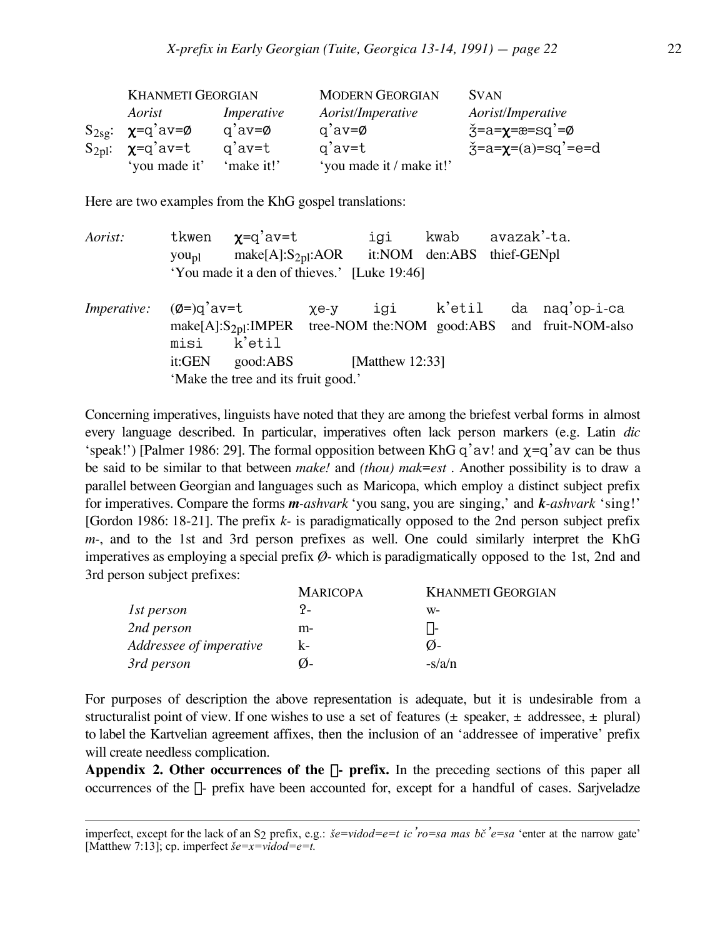| <b>KHANMETI GEORGIAN</b>       |                    | <b>MODERN GEORGIAN</b>   | <b>SVAN</b>                         |
|--------------------------------|--------------------|--------------------------|-------------------------------------|
| Aorist                         | Imperative         | Aorist/Imperative        | Aorist/Imperative                   |
| $S_{2sg}: \chi=q'av=\emptyset$ | $q'av = \emptyset$ | $q'av = \emptyset$       | ž=a=χ=æ=sq'=ø                       |
| $S_{2pl}$ : $\chi=q'av=t$      | $q'$ av=t          | g'av=t                   | $\check{3}$ =a= $\chi$ =(a)=sq'=e=d |
| 'you made it'                  | 'make it!'         | 'you made it / make it!' |                                     |

Here are two examples from the KhG gospel translations:

| Aorist:                                   |                                     | tkwen $\chi$ =q'av=t                                                       |            | igi kwab avazak'-ta.     |  |  |                                                                        |  |
|-------------------------------------------|-------------------------------------|----------------------------------------------------------------------------|------------|--------------------------|--|--|------------------------------------------------------------------------|--|
|                                           |                                     | you <sub>pl</sub> make[A]:S <sub>2pl</sub> :AOR it:NOM den:ABS thief-GENpl |            |                          |  |  |                                                                        |  |
|                                           |                                     | 'You made it a den of thieves.' [Luke 19:46]                               |            |                          |  |  |                                                                        |  |
| <i>Imperative:</i> $(\emptyset =)q'$ av=t |                                     |                                                                            | $\chi$ e-y |                          |  |  | igi k'etil da naq'op-i-ca                                              |  |
|                                           |                                     |                                                                            |            |                          |  |  | make[A]: $S_{2pl}$ :IMPER tree-NOM the:NOM good:ABS and fruit-NOM-also |  |
|                                           |                                     | misi k'etil                                                                |            |                          |  |  |                                                                        |  |
|                                           | it:GEN                              |                                                                            |            | good:ABS [Matthew 12:33] |  |  |                                                                        |  |
|                                           | 'Make the tree and its fruit good.' |                                                                            |            |                          |  |  |                                                                        |  |

Concerning imperatives, linguists have noted that they are among the briefest verbal forms in almost every language described. In particular, imperatives often lack person markers (e.g. Latin *dic* 'speak!') [Palmer 1986: 29]. The formal opposition between KhG q'av! and  $\chi$ =q'av can be thus be said to be similar to that between *make!* and *(thou) mak*=*est* . Another possibility is to draw a parallel between Georgian and languages such as Maricopa, which employ a distinct subject prefix for imperatives. Compare the forms *m-ashvark* 'you sang, you are singing,' and *k-ashvark* 'sing!' [Gordon 1986: 18-21]. The prefix *k-* is paradigmatically opposed to the 2nd person subject prefix *m-*, and to the 1st and 3rd person prefixes as well. One could similarly interpret the KhG imperatives as employing a special prefix *Ø-* which is paradigmatically opposed to the 1st, 2nd and 3rd person subject prefixes:

|                         | <b>MARICOPA</b> | <b>KHANMETI GEORGIAN</b>   |
|-------------------------|-----------------|----------------------------|
| 1st person              | ?-              | W-                         |
| 2nd person              | m-              | $X^-$                      |
| Addressee of imperative | $k-$            | $\mathcal{O}_{\mathsf{L}}$ |
| 3rd person              | Ø−              | $-s/a/n$                   |

For purposes of description the above representation is adequate, but it is undesirable from a structuralist point of view. If one wishes to use a set of features ( $\pm$  speaker,  $\pm$  addressee,  $\pm$  plural) to label the Kartvelian agreement affixes, then the inclusion of an 'addressee of imperative' prefix will create needless complication.

**Appendix 2. Other occurrences of the**  $\chi$ **- prefix.** In the preceding sections of this paper all occurrences of the  $\chi$ - prefix have been accounted for, except for a handful of cases. Sarjveladze

imperfect, except for the lack of an S2 prefix, e.g.: *£e=vidod=e=t ic'ro=sa mas b™'e=sa* 'enter at the narrow gate' [Matthew 7:13]; cp. imperfect  $\check{\mathbf{g}} = \mathbf{x} = \mathbf{v} \mathbf{i} \mathbf{d} \mathbf{o} \mathbf{d} = \mathbf{e} = \mathbf{f}$ .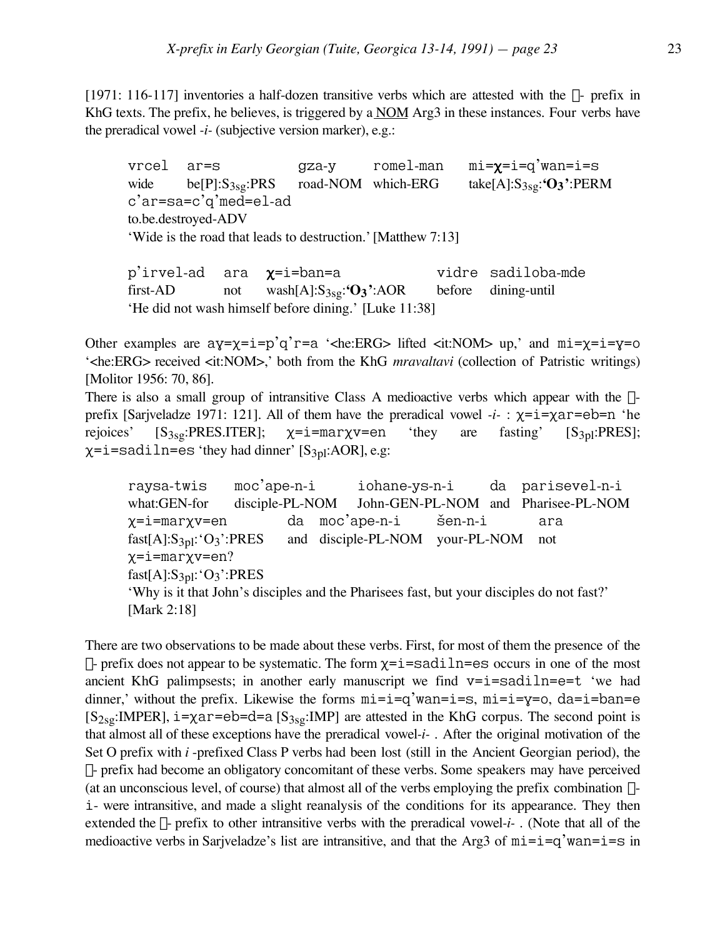[1971: 116-117] inventories a half-dozen transitive verbs which are attested with the  $\chi$ - prefix in KhG texts. The prefix, he believes, is triggered by a  $NOM$  Arg3 in these instances. Four verbs have the preradical vowel *-i-* (subjective version marker), e.g.:

vrcel ar=s gza-y romel-man mi= $\chi$ =i=q'wan=i=s wide be[P]:S<sub>3sg</sub>:PRS road-NOM which-ERG take[A]:S<sub>3sg</sub>:'O<sub>3</sub>':PERM c'ar=sa=c'q'med=el-ad to.be.destroyed-ADV 'Wide is the road that leads to destruction.'[Matthew 7:13]

p'irvel-ad ara  $\chi$ =i=ban=a vidre sadiloba-mde first-AD not wash[A]:S3sg:**'O3'**:AOR before dining-until 'He did not wash himself before dining.' [Luke 11:38]

Other examples are  $ay=y=i=p'q'r=a$  '<he:ERG> lifted <it:NOM> up,' and  $mi=y=i=y=0$ '<he:ERG> received <it:NOM>,' both from the KhG *mravaltavi* (collection of Patristic writings) [Molitor 1956: 70, 86].

There is also a small group of intransitive Class A medioactive verbs which appear with the  $\chi$ prefix [Sarjveladze 1971: 121]. All of them have the preradical vowel  $-i$ -:  $\chi = i = \chi a r = eb = n$  'he rejoices'  $[S_{3sg}: PRES.ITER]$ ;  $\chi=i=maxv=en$  'they are fasting'  $[S_{3pl}:PRES]$ ;  $\chi$ =i=sadiln=es 'they had dinner' [S<sub>3pl</sub>:AOR], e.g:

raysa-twis moc'ape-n-i iohane-ys-n-i da parisevel-n-i what:GEN-for disciple-PL-NOM John-GEN-PL-NOM and Pharisee-PL-NOM  $\chi$ =i=marχv=en da moc'ape-n-i šen-n-i ara fast[A]:S3pl:'O3':PRES and disciple-PL-NOM your-PL-NOM not X=i=marXv=en? fast[A]: $S_{3pl}$ :' $O_3$ ':PRES 'Why is it that John's disciples and the Pharisees fast, but your disciples do not fast?' [Mark 2:18]

There are two observations to be made about these verbs. First, for most of them the presence of the  $\chi$ - prefix does not appear to be systematic. The form  $\chi$ =i=sadiln=es occurs in one of the most ancient KhG palimpsests; in another early manuscript we find  $v=i=sadi ln=e=t$  'we had dinner,' without the prefix. Likewise the forms  $m = i = q'$  wan= $i = s$ ,  $m = i = y = 0$ ,  $da = i = ban = e$  $[S_{2sg}:\text{IMPER}]$ ,  $i = \chi$ ar=eb=d=a  $[S_{3sg}:\text{IMP}]$  are attested in the KhG corpus. The second point is that almost all of these exceptions have the preradical vowel*-i-* . After the original motivation of the Set O prefix with *i* -prefixed Class P verbs had been lost (still in the Ancient Georgian period), the  $\chi$ - prefix had become an obligatory concomitant of these verbs. Some speakers may have perceived (at an unconscious level, of course) that almost all of the verbs employing the prefix combination  $\chi$ i- were intransitive, and made a slight reanalysis of the conditions for its appearance. They then extended the  $\chi$ - prefix to other intransitive verbs with the preradical vowel-i-  $\chi$ . (Note that all of the medioactive verbs in Sarjveladze's list are intransitive, and that the Arg3 of  $mi=i=q'wan=i=s$  in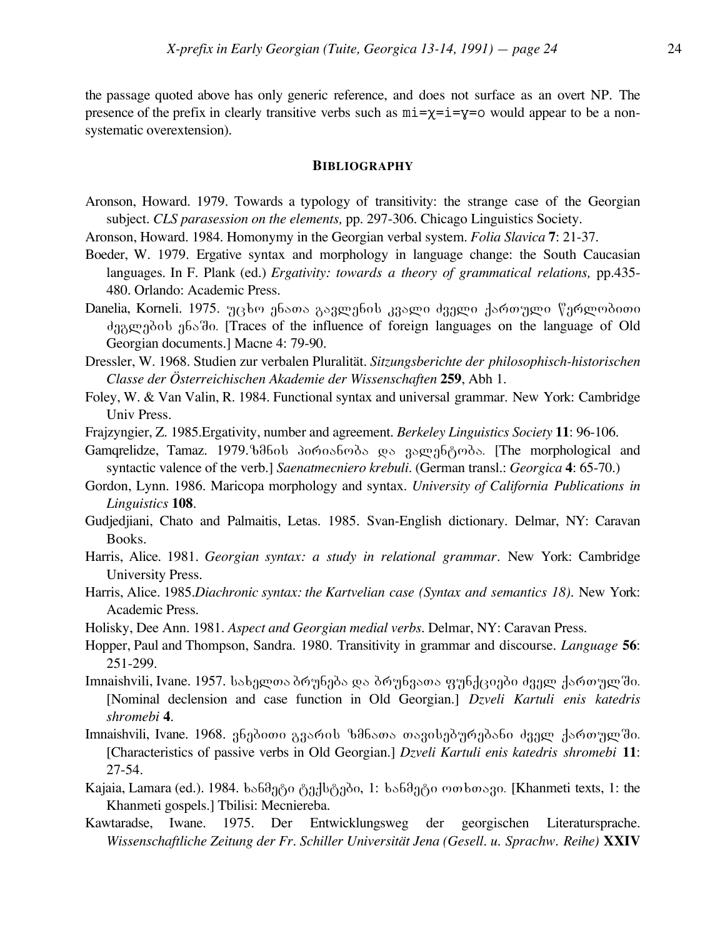the passage quoted above has only generic reference, and does not surface as an overt NP. The presence of the prefix in clearly transitive verbs such as  $m\text{i}=\chi\text{i}=\chi=0$  would appear to be a nonsystematic overextension).

#### **BIBLIOGRAPHY**

- Aronson, Howard. 1979. Towards a typology of transitivity: the strange case of the Georgian subject. *CLS parasession on the elements,* pp. 297-306. Chicago Linguistics Society.
- Aronson, Howard. 1984. Homonymy in the Georgian verbal system. *Folia Slavica* **7**: 21-37.
- Boeder, W. 1979. Ergative syntax and morphology in language change: the South Caucasian languages. In F. Plank (ed.) *Ergativity: towards a theory of grammatical relations,* pp.435- 480. Orlando: Academic Press.
- Danelia, Korneli. 1975. უცხო ენათა გავლენის კვალი ძველი ქართული წერლობითი das and above also as interested in the influence of foreign languages on the language of Old Georgian documents.] Macne 4: 79-90.
- Dressler, W. 1968. Studien zur verbalen Pluralität. *Sitzungsberichte der philosophisch-historischen Classe der Österreichischen Akademie der Wissenschaften* **259**, Abh 1.
- Foley, W. & Van Valin, R. 1984. Functional syntax and universal grammar*.* New York: Cambridge Univ Press.
- Frajzyngier, Z. 1985.Ergativity, number and agreement. *Berkeley Linguistics Society* **11**: 96-106.
- Gamqrelidze, Tamaz. 1979. babol domosboods we aswaboods. [The morphological and syntactic valence of the verb.] *Saenatmecniero krebuli*. (German transl.: *Georgica* **4**: 65-70.)
- Gordon, Lynn. 1986. Maricopa morphology and syntax. *University of California Publications in Linguistics* **108**.
- Gudjedjiani, Chato and Palmaitis, Letas. 1985. Svan-English dictionary. Delmar, NY: Caravan Books.
- Harris, Alice. 1981. *Georgian syntax: a study in relational grammar.* New York: Cambridge University Press.
- Harris, Alice. 1985.*Diachronic syntax: the Kartvelian case (Syntax and semantics 18).* New York: Academic Press.
- Holisky, Dee Ann. 1981. *Aspect and Georgian medial verbs.* Delmar, NY: Caravan Press.
- Hopper, Paul and Thompson, Sandra. 1980. Transitivity in grammar and discourse. *Language* **56**: 251-299.
- Imnaishvili, Ivane. 1957. სახელთა ბრუნება და ბრუნეათა ფუნქციები ძველ ქართულში. [Nominal declension and case function in Old Georgian.] *Dzveli Kartuli enis katedris shromebi* **4**.
- Imnaishvili, Ivane. 1968. ვნებითი გვარის ზმნათა თავისებურებანი ძველ ქართულში. [Characteristics of passive verbs in Old Georgian.] *Dzveli Kartuli enis katedris shromebi* **11**: 27-54.
- Kajaia, Lamara (ed.). 1984. bs6მეტი ტექსტები, 1: bs6მეტი ოთხთავი. [Khanmeti texts, 1: the Khanmeti gospels.] Tbilisi: Mecniereba.
- Kawtaradse, Iwane. 1975. Der Entwicklungsweg der georgischen Literatursprache. *Wissenschaftliche Zeitung der Fr. Schiller Universität Jena (Gesell. u. Sprachw. Reihe)* **XXIV**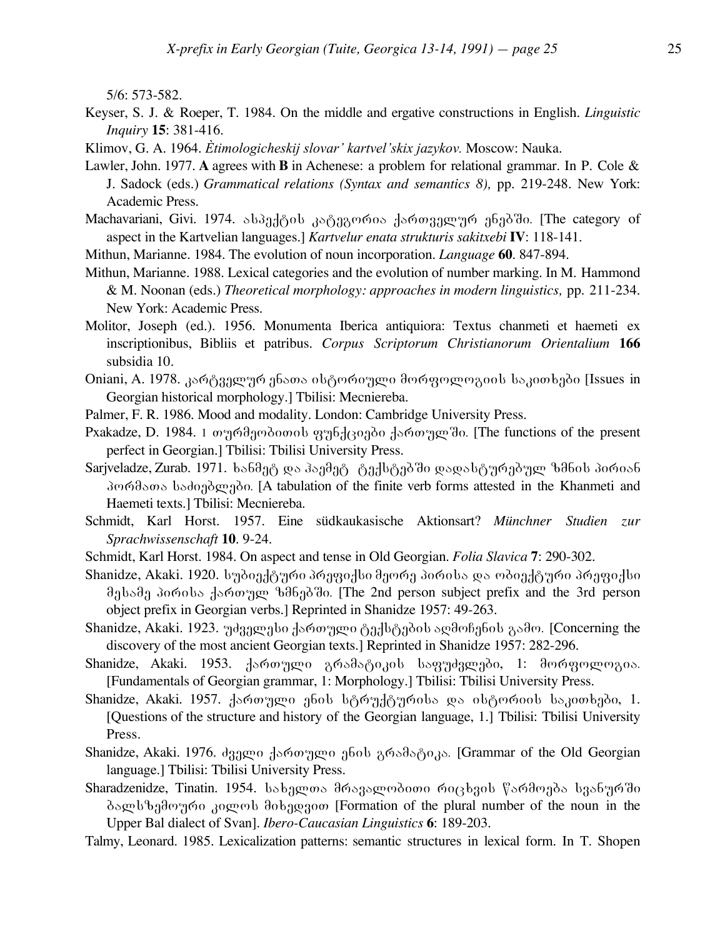5/6: 573-582.

- Keyser, S. J. & Roeper, T. 1984. On the middle and ergative constructions in English. *Linguistic Inquiry* **15**: 381-416.
- Klimov, G. A. 1964. *Ètimologicheskij slovar' kartvel'skix jazykov.* Moscow: Nauka.
- Lawler, John. 1977. **A** agrees with **B** in Achenese: a problem for relational grammar. In P. Cole & J. Sadock (eds.) *Grammatical relations (Syntax and semantics 8),* pp. 219-248. New York: Academic Press.
- Machavariani, Givi. 1974. ასპექტის კატეგორია ქართველურ ენებში. [The category of aspect in the Kartvelian languages.] *Kartvelur enata strukturis sakitxebi* **IV**: 118-141.
- Mithun, Marianne. 1984. The evolution of noun incorporation. *Language* **60**. 847-894.
- Mithun, Marianne. 1988. Lexical categories and the evolution of number marking. In M. Hammond & M. Noonan (eds.) *Theoretical morphology: approaches in modern linguistics,* pp. 211-234. New York: Academic Press.
- Molitor, Joseph (ed.). 1956. Monumenta Iberica antiquiora: Textus chanmeti et haemeti ex inscriptionibus, Bibliis et patribus. *Corpus Scriptorum Christianorum Orientalium* **166** subsidia 10.
- Oniani, A. 1978. კარტველურ ენათა ისტორიული მორფოლოგიის საკითხები [Issues in Georgian historical morphology.] Tbilisi: Mecniereba.
- Palmer, F. R. 1986. Mood and modality. London: Cambridge University Press.
- Pxakadze, D. 1984. 1 თურმეობითის ფუნქციები ქართულ ში. [The functions of the present perfect in Georgian.] Tbilisi: Tbilisi University Press.
- Sarjveladze, Zurab. 1971. bs6მეტ და პაემეტ ტექსტებში დადასტურებულ ზმნის პირიან პორმათა საძიებლები. [A tabulation of the finite verb forms attested in the Khanmeti and Haemeti texts.] Tbilisi: Mecniereba.
- Schmidt, Karl Horst. 1957. Eine südkaukasische Aktionsart? *Münchner Studien zur Sprachwissenschaft* **10**. 9-24.
- Schmidt, Karl Horst. 1984. On aspect and tense in Old Georgian. *Folia Slavica* **7**: 290-302.
- Shanidze, Akaki. 1920. სუბიექტური პრეფიქსი მეორე პირისა და ობიექტური პრეფიქსი მესამე პირისა ქართულ ზმნებში. [The 2nd person subject prefix and the 3rd person object prefix in Georgian verbs.] Reprinted in Shanidze 1957: 49-263.
- Shanidze, Akaki. 1923. უძველესი ქართული ტექსტების აღმოჩენის გამო. [Concerning the discovery of the most ancient Georgian texts.] Reprinted in Shanidze 1957: 282-296.
- Shanidze, Akaki. 1953.  $\frac{1}{4}$ ართული გრამატიკის საფუძვლები, 1: მორფოლოგია. [Fundamentals of Georgian grammar, 1: Morphology.] Tbilisi: Tbilisi University Press.
- Shanidze, Akaki. 1957. dang mengkol bang tengkan dan pasamatan dan istoria dan 1. [Questions of the structure and history of the Georgian language, 1.] Tbilisi: Tbilisi University Press.
- Shanidze, Akaki. 1976. ძველი ქართული ენის გრამატიკა. [Grammar of the Old Georgian language.] Tbilisi: Tbilisi University Press.
- Sharadzenidze, Tinatin. 1954. losba mos dosas modomo oogsbaol foodoado lasbao do  $\delta$ ალსზემოური კილოს მიხედვით [Formation of the plural number of the noun in the Upper Bal dialect of Svan]. *Ibero-Caucasian Linguistics* **6**: 189-203.
- Talmy, Leonard. 1985. Lexicalization patterns: semantic structures in lexical form. In T. Shopen